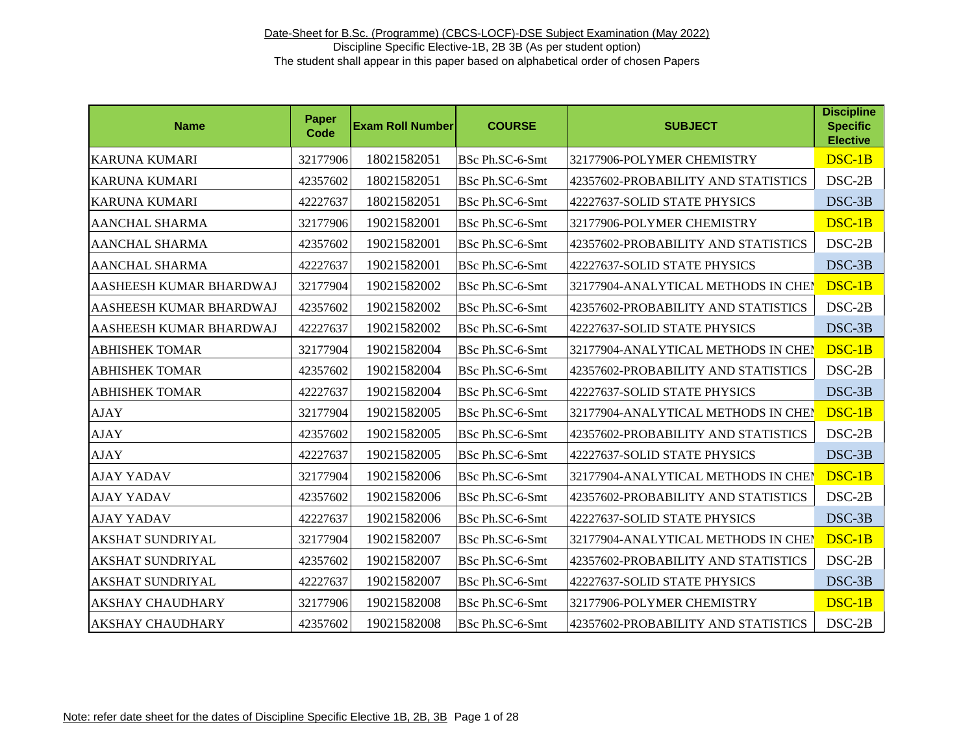| <b>Name</b>             | Paper<br>Code | <b>Exam Roll Number</b> | <b>COURSE</b>   | <b>SUBJECT</b>                      | <b>Discipline</b><br><b>Specific</b><br><b>Elective</b> |
|-------------------------|---------------|-------------------------|-----------------|-------------------------------------|---------------------------------------------------------|
| <b>KARUNA KUMARI</b>    | 32177906      | 18021582051             | BSc Ph.SC-6-Smt | 32177906-POLYMER CHEMISTRY          | DSC-1B                                                  |
| <b>KARUNA KUMARI</b>    | 42357602      | 18021582051             | BSc Ph.SC-6-Smt | 42357602-PROBABILITY AND STATISTICS | DSC-2B                                                  |
| <b>KARUNA KUMARI</b>    | 42227637      | 18021582051             | BSc Ph.SC-6-Smt | 42227637-SOLID STATE PHYSICS        | $DSC-3B$                                                |
| <b>AANCHAL SHARMA</b>   | 32177906      | 19021582001             | BSc Ph.SC-6-Smt | 32177906-POLYMER CHEMISTRY          | DSC-1B                                                  |
| <b>AANCHAL SHARMA</b>   | 42357602      | 19021582001             | BSc Ph.SC-6-Smt | 42357602-PROBABILITY AND STATISTICS | DSC-2B                                                  |
| <b>AANCHAL SHARMA</b>   | 42227637      | 19021582001             | BSc Ph.SC-6-Smt | 42227637-SOLID STATE PHYSICS        | $DSC-3B$                                                |
| AASHEESH KUMAR BHARDWAJ | 32177904      | 19021582002             | BSc Ph.SC-6-Smt | 32177904-ANALYTICAL METHODS IN CHEI | DSC-1B                                                  |
| AASHEESH KUMAR BHARDWAJ | 42357602      | 19021582002             | BSc Ph.SC-6-Smt | 42357602-PROBABILITY AND STATISTICS | $DSC-2B$                                                |
| AASHEESH KUMAR BHARDWAJ | 42227637      | 19021582002             | BSc Ph.SC-6-Smt | 42227637-SOLID STATE PHYSICS        | DSC-3B                                                  |
| <b>ABHISHEK TOMAR</b>   | 32177904      | 19021582004             | BSc Ph.SC-6-Smt | 32177904-ANALYTICAL METHODS IN CHEN | $DSC-1B$                                                |
| <b>ABHISHEK TOMAR</b>   | 42357602      | 19021582004             | BSc Ph.SC-6-Smt | 42357602-PROBABILITY AND STATISTICS | $DSC-2B$                                                |
| <b>ABHISHEK TOMAR</b>   | 42227637      | 19021582004             | BSc Ph.SC-6-Smt | 42227637-SOLID STATE PHYSICS        | DSC-3B                                                  |
| <b>AJAY</b>             | 32177904      | 19021582005             | BSc Ph.SC-6-Smt | 32177904-ANALYTICAL METHODS IN CHEI | $DSC-1B$                                                |
| <b>AJAY</b>             | 42357602      | 19021582005             | BSc Ph.SC-6-Smt | 42357602-PROBABILITY AND STATISTICS | $DSC-2B$                                                |
| <b>AJAY</b>             | 42227637      | 19021582005             | BSc Ph.SC-6-Smt | 42227637-SOLID STATE PHYSICS        | DSC-3B                                                  |
| <b>AJAY YADAV</b>       | 32177904      | 19021582006             | BSc Ph.SC-6-Smt | 32177904-ANALYTICAL METHODS IN CHEI | $DSC-1B$                                                |
| <b>AJAY YADAV</b>       | 42357602      | 19021582006             | BSc Ph.SC-6-Smt | 42357602-PROBABILITY AND STATISTICS | DSC-2B                                                  |
| <b>AJAY YADAV</b>       | 42227637      | 19021582006             | BSc Ph.SC-6-Smt | 42227637-SOLID STATE PHYSICS        | DSC-3B                                                  |
| <b>AKSHAT SUNDRIYAL</b> | 32177904      | 19021582007             | BSc Ph.SC-6-Smt | 32177904-ANALYTICAL METHODS IN CHEN | DSC-1B                                                  |
| <b>AKSHAT SUNDRIYAL</b> | 42357602      | 19021582007             | BSc Ph.SC-6-Smt | 42357602-PROBABILITY AND STATISTICS | DSC-2B                                                  |
| <b>AKSHAT SUNDRIYAL</b> | 42227637      | 19021582007             | BSc Ph.SC-6-Smt | 42227637-SOLID STATE PHYSICS        | DSC-3B                                                  |
| <b>AKSHAY CHAUDHARY</b> | 32177906      | 19021582008             | BSc Ph.SC-6-Smt | 32177906-POLYMER CHEMISTRY          | $DSC-1B$                                                |
| <b>AKSHAY CHAUDHARY</b> | 42357602      | 19021582008             | BSc Ph.SC-6-Smt | 42357602-PROBABILITY AND STATISTICS | DSC-2B                                                  |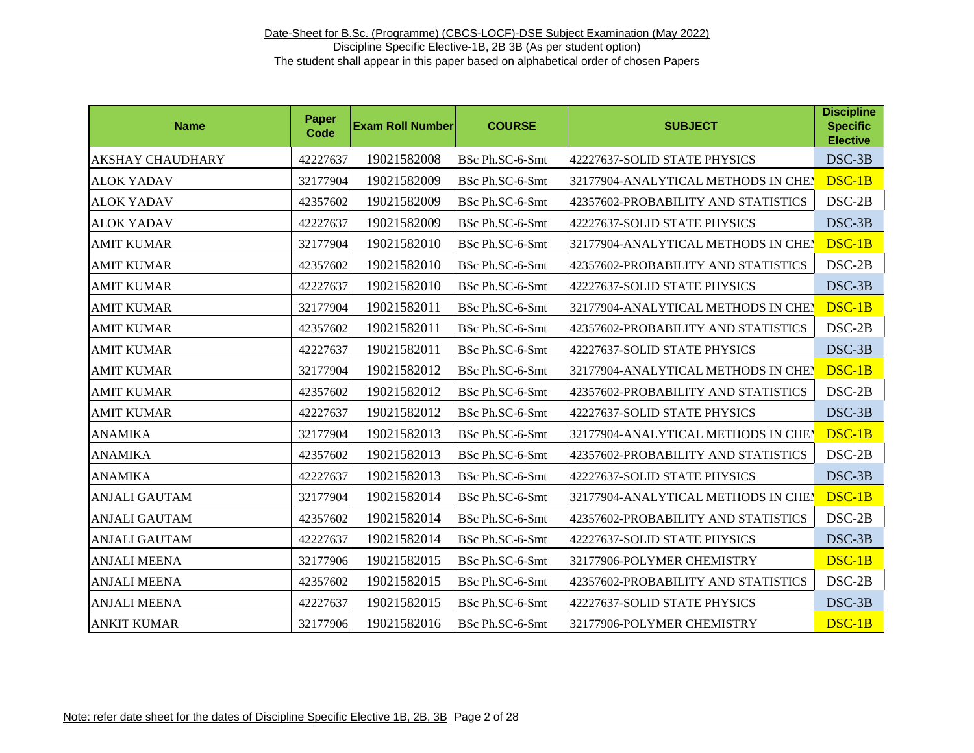| <b>Name</b>             | Paper<br><b>Code</b> | <b>Exam Roll Number</b> | <b>COURSE</b>   | <b>SUBJECT</b>                      | <b>Discipline</b><br><b>Specific</b><br><b>Elective</b> |
|-------------------------|----------------------|-------------------------|-----------------|-------------------------------------|---------------------------------------------------------|
| <b>AKSHAY CHAUDHARY</b> | 42227637             | 19021582008             | BSc Ph.SC-6-Smt | 42227637-SOLID STATE PHYSICS        | DSC-3B                                                  |
| <b>ALOK YADAV</b>       | 32177904             | 19021582009             | BSc Ph.SC-6-Smt | 32177904-ANALYTICAL METHODS IN CHEM | DSC-1B                                                  |
| <b>ALOK YADAV</b>       | 42357602             | 19021582009             | BSc Ph.SC-6-Smt | 42357602-PROBABILITY AND STATISTICS | $DSC-2B$                                                |
| <b>ALOK YADAV</b>       | 42227637             | 19021582009             | BSc Ph.SC-6-Smt | 42227637-SOLID STATE PHYSICS        | $DSC-3B$                                                |
| <b>AMIT KUMAR</b>       | 32177904             | 19021582010             | BSc Ph.SC-6-Smt | 32177904-ANALYTICAL METHODS IN CHEM | DSC-1B                                                  |
| <b>AMIT KUMAR</b>       | 42357602             | 19021582010             | BSc Ph.SC-6-Smt | 42357602-PROBABILITY AND STATISTICS | $DSC-2B$                                                |
| <b>AMIT KUMAR</b>       | 42227637             | 19021582010             | BSc Ph.SC-6-Smt | 42227637-SOLID STATE PHYSICS        | DSC-3B                                                  |
| <b>AMIT KUMAR</b>       | 32177904             | 19021582011             | BSc Ph.SC-6-Smt | 32177904-ANALYTICAL METHODS IN CHEI | DSC-1B                                                  |
| <b>AMIT KUMAR</b>       | 42357602             | 19021582011             | BSc Ph.SC-6-Smt | 42357602-PROBABILITY AND STATISTICS | $DSC-2B$                                                |
| <b>AMIT KUMAR</b>       | 42227637             | 19021582011             | BSc Ph.SC-6-Smt | 42227637-SOLID STATE PHYSICS        | DSC-3B                                                  |
| <b>AMIT KUMAR</b>       | 32177904             | 19021582012             | BSc Ph.SC-6-Smt | 32177904-ANALYTICAL METHODS IN CHEI | DSC-1B                                                  |
| <b>AMIT KUMAR</b>       | 42357602             | 19021582012             | BSc Ph.SC-6-Smt | 42357602-PROBABILITY AND STATISTICS | $DSC-2B$                                                |
| <b>AMIT KUMAR</b>       | 42227637             | 19021582012             | BSc Ph.SC-6-Smt | 42227637-SOLID STATE PHYSICS        | DSC-3B                                                  |
| <b>ANAMIKA</b>          | 32177904             | 19021582013             | BSc Ph.SC-6-Smt | 32177904-ANALYTICAL METHODS IN CHEI | DSC-1B                                                  |
| <b>ANAMIKA</b>          | 42357602             | 19021582013             | BSc Ph.SC-6-Smt | 42357602-PROBABILITY AND STATISTICS | $DSC-2B$                                                |
| <b>ANAMIKA</b>          | 42227637             | 19021582013             | BSc Ph.SC-6-Smt | 42227637-SOLID STATE PHYSICS        | DSC-3B                                                  |
| <b>ANJALI GAUTAM</b>    | 32177904             | 19021582014             | BSc Ph.SC-6-Smt | 32177904-ANALYTICAL METHODS IN CHEI | DSC-1B                                                  |
| <b>ANJALI GAUTAM</b>    | 42357602             | 19021582014             | BSc Ph.SC-6-Smt | 42357602-PROBABILITY AND STATISTICS | $DSC-2B$                                                |
| <b>ANJALI GAUTAM</b>    | 42227637             | 19021582014             | BSc Ph.SC-6-Smt | 42227637-SOLID STATE PHYSICS        | DSC-3B                                                  |
| <b>ANJALI MEENA</b>     | 32177906             | 19021582015             | BSc Ph.SC-6-Smt | 32177906-POLYMER CHEMISTRY          | DSC-1B                                                  |
| <b>ANJALI MEENA</b>     | 42357602             | 19021582015             | BSc Ph.SC-6-Smt | 42357602-PROBABILITY AND STATISTICS | DSC-2B                                                  |
| <b>ANJALI MEENA</b>     | 42227637             | 19021582015             | BSc Ph.SC-6-Smt | 42227637-SOLID STATE PHYSICS        | DSC-3B                                                  |
| <b>ANKIT KUMAR</b>      | 32177906             | 19021582016             | BSc Ph.SC-6-Smt | 32177906-POLYMER CHEMISTRY          | DSC-1B                                                  |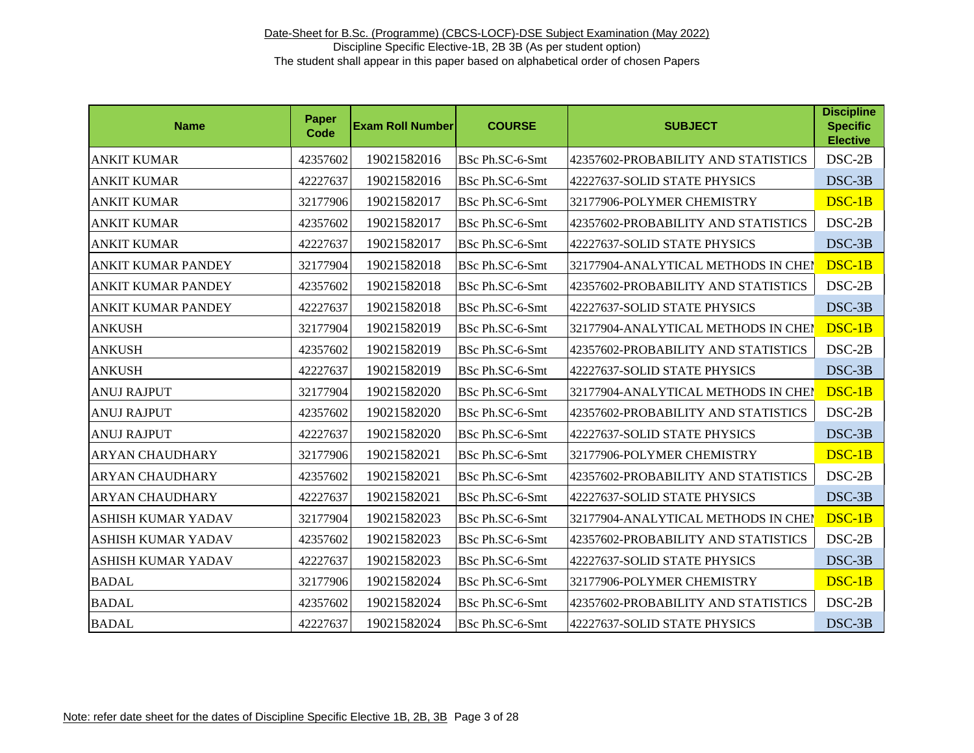| <b>Name</b>               | Paper<br>Code | <b>Exam Roll Number</b> | <b>COURSE</b>   | <b>SUBJECT</b>                      | <b>Discipline</b><br><b>Specific</b><br><b>Elective</b> |
|---------------------------|---------------|-------------------------|-----------------|-------------------------------------|---------------------------------------------------------|
| ANKIT KUMAR               | 42357602      | 19021582016             | BSc Ph.SC-6-Smt | 42357602-PROBABILITY AND STATISTICS | DSC-2B                                                  |
| ANKIT KUMAR               | 42227637      | 19021582016             | BSc Ph.SC-6-Smt | 42227637-SOLID STATE PHYSICS        | DSC-3B                                                  |
| <b>ANKIT KUMAR</b>        | 32177906      | 19021582017             | BSc Ph.SC-6-Smt | 32177906-POLYMER CHEMISTRY          | DSC-1B                                                  |
| ANKIT KUMAR               | 42357602      | 19021582017             | BSc Ph.SC-6-Smt | 42357602-PROBABILITY AND STATISTICS | $DSC-2B$                                                |
| <b>ANKIT KUMAR</b>        | 42227637      | 19021582017             | BSc Ph.SC-6-Smt | 42227637-SOLID STATE PHYSICS        | DSC-3B                                                  |
| ANKIT KUMAR PANDEY        | 32177904      | 19021582018             | BSc Ph.SC-6-Smt | 32177904-ANALYTICAL METHODS IN CHEN | DSC-1B                                                  |
| ANKIT KUMAR PANDEY        | 42357602      | 19021582018             | BSc Ph.SC-6-Smt | 42357602-PROBABILITY AND STATISTICS | $DSC-2B$                                                |
| ANKIT KUMAR PANDEY        | 42227637      | 19021582018             | BSc Ph.SC-6-Smt | 42227637-SOLID STATE PHYSICS        | DSC-3B                                                  |
| <b>ANKUSH</b>             | 32177904      | 19021582019             | BSc Ph.SC-6-Smt | 32177904-ANALYTICAL METHODS IN CHEI | DSC-1B                                                  |
| <b>ANKUSH</b>             | 42357602      | 19021582019             | BSc Ph.SC-6-Smt | 42357602-PROBABILITY AND STATISTICS | $DSC-2B$                                                |
| <b>ANKUSH</b>             | 42227637      | 19021582019             | BSc Ph.SC-6-Smt | 42227637-SOLID STATE PHYSICS        | DSC-3B                                                  |
| <b>ANUJ RAJPUT</b>        | 32177904      | 19021582020             | BSc Ph.SC-6-Smt | 32177904-ANALYTICAL METHODS IN CHEI | DSC-1B                                                  |
| <b>ANUJ RAJPUT</b>        | 42357602      | 19021582020             | BSc Ph.SC-6-Smt | 42357602-PROBABILITY AND STATISTICS | $DSC-2B$                                                |
| <b>ANUJ RAJPUT</b>        | 42227637      | 19021582020             | BSc Ph.SC-6-Smt | 42227637-SOLID STATE PHYSICS        | DSC-3B                                                  |
| <b>ARYAN CHAUDHARY</b>    | 32177906      | 19021582021             | BSc Ph.SC-6-Smt | 32177906-POLYMER CHEMISTRY          | DSC-1B                                                  |
| <b>ARYAN CHAUDHARY</b>    | 42357602      | 19021582021             | BSc Ph.SC-6-Smt | 42357602-PROBABILITY AND STATISTICS | $DSC-2B$                                                |
| <b>ARYAN CHAUDHARY</b>    | 42227637      | 19021582021             | BSc Ph.SC-6-Smt | 42227637-SOLID STATE PHYSICS        | DSC-3B                                                  |
| ASHISH KUMAR YADAV        | 32177904      | 19021582023             | BSc Ph.SC-6-Smt | 32177904-ANALYTICAL METHODS IN CHEI | DSC-1B                                                  |
| <b>ASHISH KUMAR YADAV</b> | 42357602      | 19021582023             | BSc Ph.SC-6-Smt | 42357602-PROBABILITY AND STATISTICS | $DSC-2B$                                                |
| ASHISH KUMAR YADAV        | 42227637      | 19021582023             | BSc Ph.SC-6-Smt | 42227637-SOLID STATE PHYSICS        | DSC-3B                                                  |
| <b>BADAL</b>              | 32177906      | 19021582024             | BSc Ph.SC-6-Smt | 32177906-POLYMER CHEMISTRY          | DSC-1B                                                  |
| <b>BADAL</b>              | 42357602      | 19021582024             | BSc Ph.SC-6-Smt | 42357602-PROBABILITY AND STATISTICS | $DSC-2B$                                                |
| <b>BADAL</b>              | 42227637      | 19021582024             | BSc Ph.SC-6-Smt | 42227637-SOLID STATE PHYSICS        | DSC-3B                                                  |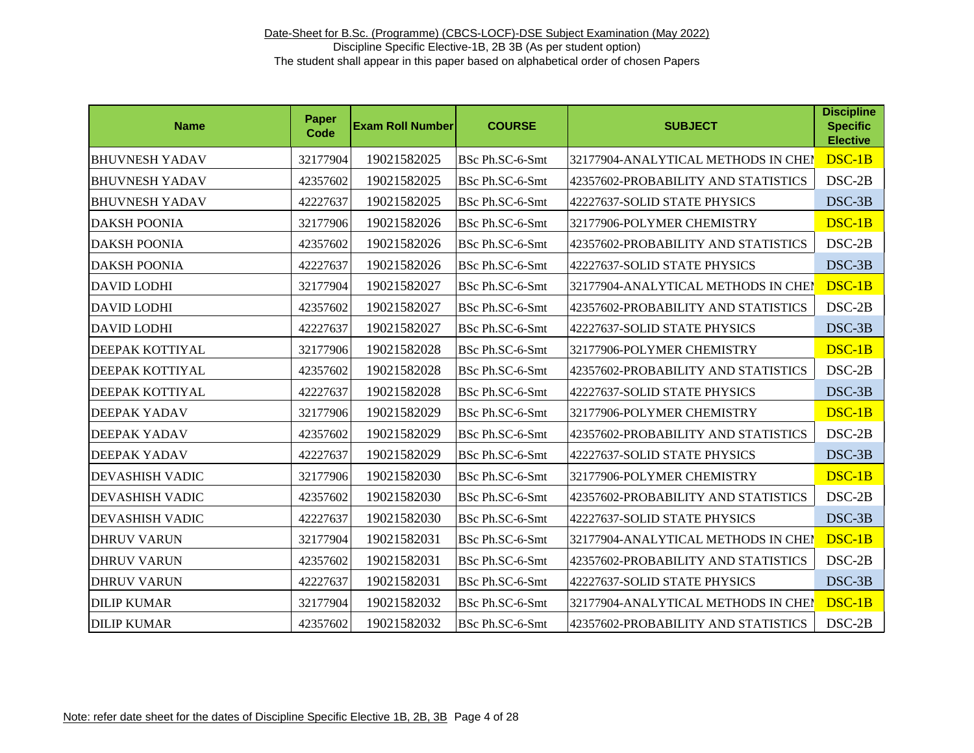| <b>Name</b>            | <b>Paper</b><br><b>Code</b> | <b>Exam Roll Number</b> | <b>COURSE</b>   | <b>SUBJECT</b>                      | <b>Discipline</b><br><b>Specific</b><br><b>Elective</b> |
|------------------------|-----------------------------|-------------------------|-----------------|-------------------------------------|---------------------------------------------------------|
| <b>BHUVNESH YADAV</b>  | 32177904                    | 19021582025             | BSc Ph.SC-6-Smt | 32177904-ANALYTICAL METHODS IN CHEI | DSC-1B                                                  |
| <b>BHUVNESH YADAV</b>  | 42357602                    | 19021582025             | BSc Ph.SC-6-Smt | 42357602-PROBABILITY AND STATISTICS | $DSC-2B$                                                |
| <b>BHUVNESH YADAV</b>  | 42227637                    | 19021582025             | BSc Ph.SC-6-Smt | 42227637-SOLID STATE PHYSICS        | DSC-3B                                                  |
| <b>DAKSH POONIA</b>    | 32177906                    | 19021582026             | BSc Ph.SC-6-Smt | 32177906-POLYMER CHEMISTRY          | DSC-1B                                                  |
| <b>DAKSH POONIA</b>    | 42357602                    | 19021582026             | BSc Ph.SC-6-Smt | 42357602-PROBABILITY AND STATISTICS | $DSC-2B$                                                |
| <b>DAKSH POONIA</b>    | 42227637                    | 19021582026             | BSc Ph.SC-6-Smt | 42227637-SOLID STATE PHYSICS        | DSC-3B                                                  |
| <b>DAVID LODHI</b>     | 32177904                    | 19021582027             | BSc Ph.SC-6-Smt | 32177904-ANALYTICAL METHODS IN CHEI | $DSC-1B$                                                |
| <b>DAVID LODHI</b>     | 42357602                    | 19021582027             | BSc Ph.SC-6-Smt | 42357602-PROBABILITY AND STATISTICS | DSC-2B                                                  |
| <b>DAVID LODHI</b>     | 42227637                    | 19021582027             | BSc Ph.SC-6-Smt | 42227637-SOLID STATE PHYSICS        | DSC-3B                                                  |
| DEEPAK KOTTIYAL        | 32177906                    | 19021582028             | BSc Ph.SC-6-Smt | 32177906-POLYMER CHEMISTRY          | $DSC-1B$                                                |
| DEEPAK KOTTIYAL        | 42357602                    | 19021582028             | BSc Ph.SC-6-Smt | 42357602-PROBABILITY AND STATISTICS | $DSC-2B$                                                |
| DEEPAK KOTTIYAL        | 42227637                    | 19021582028             | BSc Ph.SC-6-Smt | 42227637-SOLID STATE PHYSICS        | DSC-3B                                                  |
| <b>DEEPAK YADAV</b>    | 32177906                    | 19021582029             | BSc Ph.SC-6-Smt | 32177906-POLYMER CHEMISTRY          | DSC-1B                                                  |
| <b>DEEPAK YADAV</b>    | 42357602                    | 19021582029             | BSc Ph.SC-6-Smt | 42357602-PROBABILITY AND STATISTICS | $DSC-2B$                                                |
| <b>DEEPAK YADAV</b>    | 42227637                    | 19021582029             | BSc Ph.SC-6-Smt | 42227637-SOLID STATE PHYSICS        | DSC-3B                                                  |
| <b>DEVASHISH VADIC</b> | 32177906                    | 19021582030             | BSc Ph.SC-6-Smt | 32177906-POLYMER CHEMISTRY          | DSC-1B                                                  |
| <b>DEVASHISH VADIC</b> | 42357602                    | 19021582030             | BSc Ph.SC-6-Smt | 42357602-PROBABILITY AND STATISTICS | DSC-2B                                                  |
| <b>DEVASHISH VADIC</b> | 42227637                    | 19021582030             | BSc Ph.SC-6-Smt | 42227637-SOLID STATE PHYSICS        | DSC-3B                                                  |
| <b>DHRUV VARUN</b>     | 32177904                    | 19021582031             | BSc Ph.SC-6-Smt | 32177904-ANALYTICAL METHODS IN CHEI | DSC-1B                                                  |
| <b>DHRUV VARUN</b>     | 42357602                    | 19021582031             | BSc Ph.SC-6-Smt | 42357602-PROBABILITY AND STATISTICS | DSC-2B                                                  |
| <b>DHRUV VARUN</b>     | 42227637                    | 19021582031             | BSc Ph.SC-6-Smt | 42227637-SOLID STATE PHYSICS        | DSC-3B                                                  |
| <b>DILIP KUMAR</b>     | 32177904                    | 19021582032             | BSc Ph.SC-6-Smt | 32177904-ANALYTICAL METHODS IN CHEI | DSC-1B                                                  |
| <b>DILIP KUMAR</b>     | 42357602                    | 19021582032             | BSc Ph.SC-6-Smt | 42357602-PROBABILITY AND STATISTICS | DSC-2B                                                  |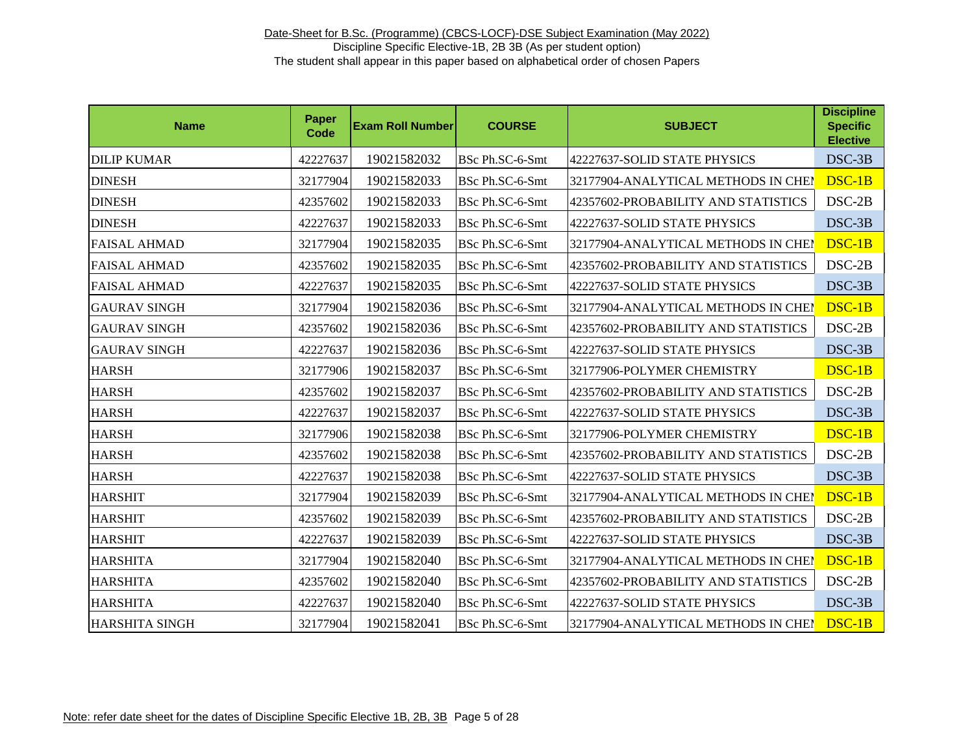| <b>Name</b>           | <b>Paper</b><br>Code | <b>Exam Roll Number</b> | <b>COURSE</b>   | <b>SUBJECT</b>                      | <b>Discipline</b><br><b>Specific</b><br><b>Elective</b> |
|-----------------------|----------------------|-------------------------|-----------------|-------------------------------------|---------------------------------------------------------|
| <b>DILIP KUMAR</b>    | 42227637             | 19021582032             | BSc Ph.SC-6-Smt | 42227637-SOLID STATE PHYSICS        | DSC-3B                                                  |
| <b>DINESH</b>         | 32177904             | 19021582033             | BSc Ph.SC-6-Smt | 32177904-ANALYTICAL METHODS IN CHEN | DSC-1B                                                  |
| <b>DINESH</b>         | 42357602             | 19021582033             | BSc Ph.SC-6-Smt | 42357602-PROBABILITY AND STATISTICS | $DSC-2B$                                                |
| <b>DINESH</b>         | 42227637             | 19021582033             | BSc Ph.SC-6-Smt | 42227637-SOLID STATE PHYSICS        | DSC-3B                                                  |
| <b>FAISAL AHMAD</b>   | 32177904             | 19021582035             | BSc Ph.SC-6-Smt | 32177904-ANALYTICAL METHODS IN CHEI | $DSC-1B$                                                |
| <b>FAISAL AHMAD</b>   | 42357602             | 19021582035             | BSc Ph.SC-6-Smt | 42357602-PROBABILITY AND STATISTICS | DSC-2B                                                  |
| <b>FAISAL AHMAD</b>   | 42227637             | 19021582035             | BSc Ph.SC-6-Smt | 42227637-SOLID STATE PHYSICS        | DSC-3B                                                  |
| <b>GAURAV SINGH</b>   | 32177904             | 19021582036             | BSc Ph.SC-6-Smt | 32177904-ANALYTICAL METHODS IN CHEI | DSC-1B                                                  |
| <b>GAURAV SINGH</b>   | 42357602             | 19021582036             | BSc Ph.SC-6-Smt | 42357602-PROBABILITY AND STATISTICS | DSC-2B                                                  |
| <b>GAURAV SINGH</b>   | 42227637             | 19021582036             | BSc Ph.SC-6-Smt | 42227637-SOLID STATE PHYSICS        | DSC-3B                                                  |
| <b>HARSH</b>          | 32177906             | 19021582037             | BSc Ph.SC-6-Smt | 32177906-POLYMER CHEMISTRY          | $DSC-1B$                                                |
| <b>HARSH</b>          | 42357602             | 19021582037             | BSc Ph.SC-6-Smt | 42357602-PROBABILITY AND STATISTICS | $DSC-2B$                                                |
| <b>HARSH</b>          | 42227637             | 19021582037             | BSc Ph.SC-6-Smt | 42227637-SOLID STATE PHYSICS        | DSC-3B                                                  |
| <b>HARSH</b>          | 32177906             | 19021582038             | BSc Ph.SC-6-Smt | 32177906-POLYMER CHEMISTRY          | $DSC-1B$                                                |
| <b>HARSH</b>          | 42357602             | 19021582038             | BSc Ph.SC-6-Smt | 42357602-PROBABILITY AND STATISTICS | $DSC-2B$                                                |
| <b>HARSH</b>          | 42227637             | 19021582038             | BSc Ph.SC-6-Smt | 42227637-SOLID STATE PHYSICS        | DSC-3B                                                  |
| <b>HARSHIT</b>        | 32177904             | 19021582039             | BSc Ph.SC-6-Smt | 32177904-ANALYTICAL METHODS IN CHEI | DSC-1B                                                  |
| <b>HARSHIT</b>        | 42357602             | 19021582039             | BSc Ph.SC-6-Smt | 42357602-PROBABILITY AND STATISTICS | DSC-2B                                                  |
| <b>HARSHIT</b>        | 42227637             | 19021582039             | BSc Ph.SC-6-Smt | 42227637-SOLID STATE PHYSICS        | DSC-3B                                                  |
| <b>HARSHITA</b>       | 32177904             | 19021582040             | BSc Ph.SC-6-Smt | 32177904-ANALYTICAL METHODS IN CHEI | DSC-1B                                                  |
| <b>HARSHITA</b>       | 42357602             | 19021582040             | BSc Ph.SC-6-Smt | 42357602-PROBABILITY AND STATISTICS | DSC-2B                                                  |
| <b>HARSHITA</b>       | 42227637             | 19021582040             | BSc Ph.SC-6-Smt | 42227637-SOLID STATE PHYSICS        | DSC-3B                                                  |
| <b>HARSHITA SINGH</b> | 32177904             | 19021582041             | BSc Ph.SC-6-Smt | 32177904-ANALYTICAL METHODS IN CHEP | DSC-1B                                                  |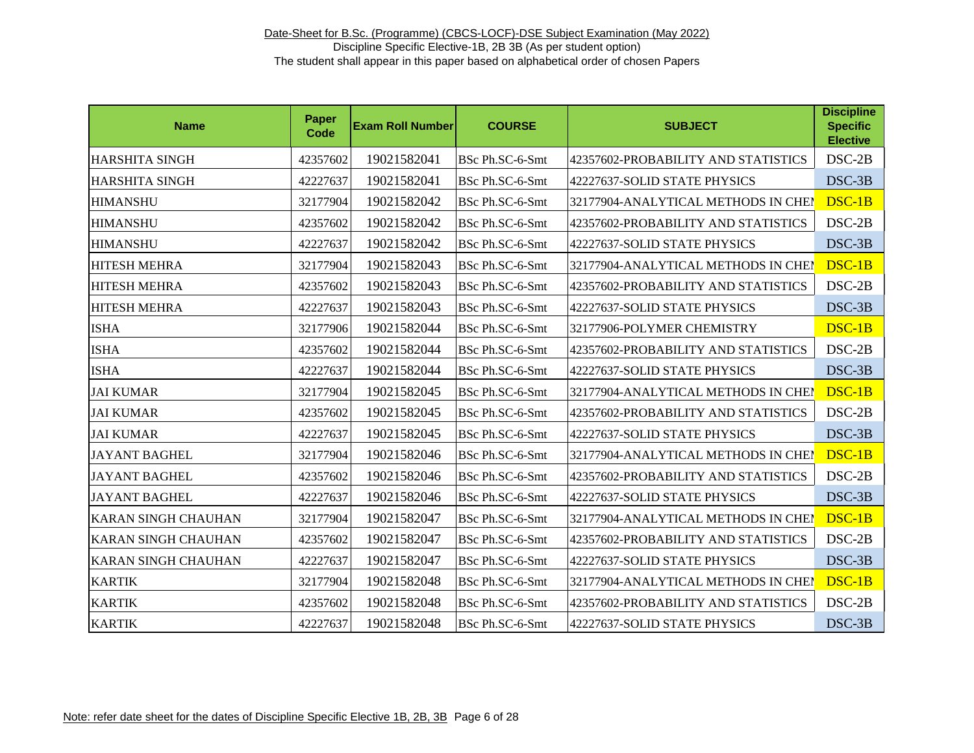| <b>Name</b>                | Paper<br>Code | <b>Exam Roll Number</b> | <b>COURSE</b>   | <b>SUBJECT</b>                      | <b>Discipline</b><br><b>Specific</b><br><b>Elective</b> |
|----------------------------|---------------|-------------------------|-----------------|-------------------------------------|---------------------------------------------------------|
| <b>HARSHITA SINGH</b>      | 42357602      | 19021582041             | BSc Ph.SC-6-Smt | 42357602-PROBABILITY AND STATISTICS | DSC-2B                                                  |
| <b>HARSHITA SINGH</b>      | 42227637      | 19021582041             | BSc Ph.SC-6-Smt | 42227637-SOLID STATE PHYSICS        | DSC-3B                                                  |
| <b>HIMANSHU</b>            | 32177904      | 19021582042             | BSc Ph.SC-6-Smt | 32177904-ANALYTICAL METHODS IN CHEI | DSC-1B                                                  |
| <b>HIMANSHU</b>            | 42357602      | 19021582042             | BSc Ph.SC-6-Smt | 42357602-PROBABILITY AND STATISTICS | $DSC-2B$                                                |
| <b>HIMANSHU</b>            | 42227637      | 19021582042             | BSc Ph.SC-6-Smt | 42227637-SOLID STATE PHYSICS        | DSC-3B                                                  |
| <b>HITESH MEHRA</b>        | 32177904      | 19021582043             | BSc Ph.SC-6-Smt | 32177904-ANALYTICAL METHODS IN CHEI | DSC-1B                                                  |
| <b>HITESH MEHRA</b>        | 42357602      | 19021582043             | BSc Ph.SC-6-Smt | 42357602-PROBABILITY AND STATISTICS | $DSC-2B$                                                |
| <b>HITESH MEHRA</b>        | 42227637      | 19021582043             | BSc Ph.SC-6-Smt | 42227637-SOLID STATE PHYSICS        | DSC-3B                                                  |
| <b>ISHA</b>                | 32177906      | 19021582044             | BSc Ph.SC-6-Smt | 32177906-POLYMER CHEMISTRY          | DSC-1B                                                  |
| <b>ISHA</b>                | 42357602      | 19021582044             | BSc Ph.SC-6-Smt | 42357602-PROBABILITY AND STATISTICS | $DSC-2B$                                                |
| <b>ISHA</b>                | 42227637      | 19021582044             | BSc Ph.SC-6-Smt | 42227637-SOLID STATE PHYSICS        | DSC-3B                                                  |
| <b>JAI KUMAR</b>           | 32177904      | 19021582045             | BSc Ph.SC-6-Smt | 32177904-ANALYTICAL METHODS IN CHEN | $DSC-1B$                                                |
| <b>JAI KUMAR</b>           | 42357602      | 19021582045             | BSc Ph.SC-6-Smt | 42357602-PROBABILITY AND STATISTICS | $DSC-2B$                                                |
| <b>JAI KUMAR</b>           | 42227637      | 19021582045             | BSc Ph.SC-6-Smt | 42227637-SOLID STATE PHYSICS        | DSC-3B                                                  |
| <b>JAYANT BAGHEL</b>       | 32177904      | 19021582046             | BSc Ph.SC-6-Smt | 32177904-ANALYTICAL METHODS IN CHEM | DSC-1B                                                  |
| <b>JAYANT BAGHEL</b>       | 42357602      | 19021582046             | BSc Ph.SC-6-Smt | 42357602-PROBABILITY AND STATISTICS | $DSC-2B$                                                |
| <b>JAYANT BAGHEL</b>       | 42227637      | 19021582046             | BSc Ph.SC-6-Smt | 42227637-SOLID STATE PHYSICS        | DSC-3B                                                  |
| <b>KARAN SINGH CHAUHAN</b> | 32177904      | 19021582047             | BSc Ph.SC-6-Smt | 32177904-ANALYTICAL METHODS IN CHEI | DSC-1B                                                  |
| <b>KARAN SINGH CHAUHAN</b> | 42357602      | 19021582047             | BSc Ph.SC-6-Smt | 42357602-PROBABILITY AND STATISTICS | $DSC-2B$                                                |
| <b>KARAN SINGH CHAUHAN</b> | 42227637      | 19021582047             | BSc Ph.SC-6-Smt | 42227637-SOLID STATE PHYSICS        | DSC-3B                                                  |
| <b>KARTIK</b>              | 32177904      | 19021582048             | BSc Ph.SC-6-Smt | 32177904-ANALYTICAL METHODS IN CHEI | DSC-1B                                                  |
| <b>KARTIK</b>              | 42357602      | 19021582048             | BSc Ph.SC-6-Smt | 42357602-PROBABILITY AND STATISTICS | $DSC-2B$                                                |
| <b>KARTIK</b>              | 42227637      | 19021582048             | BSc Ph.SC-6-Smt | 42227637-SOLID STATE PHYSICS        | DSC-3B                                                  |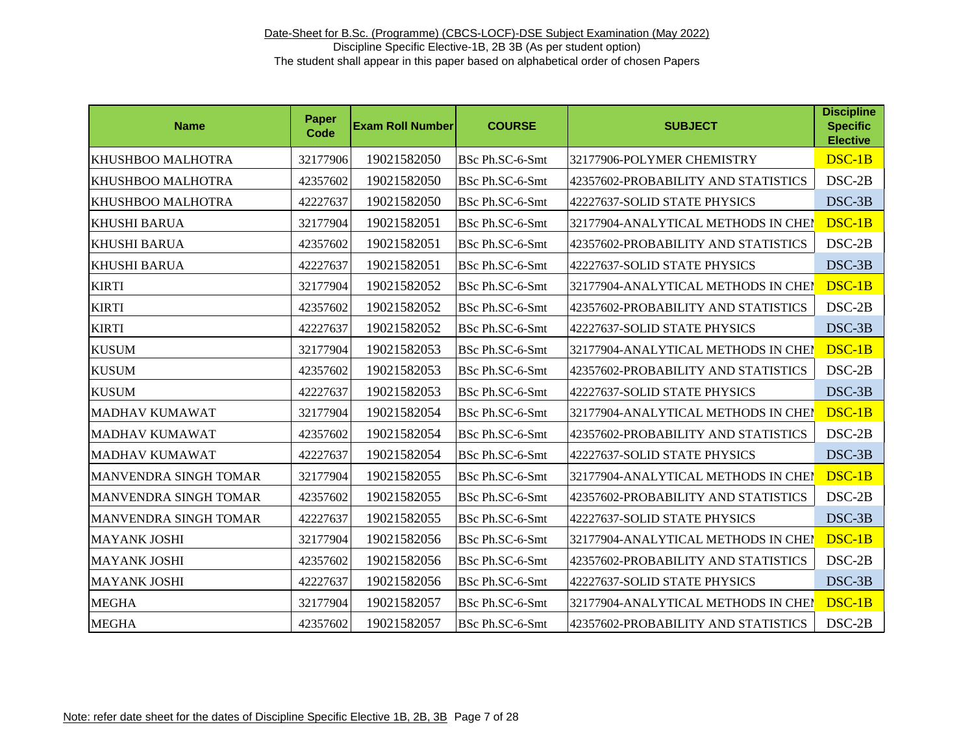| <b>Name</b>           | <b>Paper</b><br>Code | <b>Exam Roll Number</b> | <b>COURSE</b>   | <b>SUBJECT</b>                      | <b>Discipline</b><br><b>Specific</b><br><b>Elective</b> |
|-----------------------|----------------------|-------------------------|-----------------|-------------------------------------|---------------------------------------------------------|
| KHUSHBOO MALHOTRA     | 32177906             | 19021582050             | BSc Ph.SC-6-Smt | 32177906-POLYMER CHEMISTRY          | DSC-1B                                                  |
| KHUSHBOO MALHOTRA     | 42357602             | 19021582050             | BSc Ph.SC-6-Smt | 42357602-PROBABILITY AND STATISTICS | DSC-2B                                                  |
| KHUSHBOO MALHOTRA     | 42227637             | 19021582050             | BSc Ph.SC-6-Smt | 42227637-SOLID STATE PHYSICS        | DSC-3B                                                  |
| <b>KHUSHI BARUA</b>   | 32177904             | 19021582051             | BSc Ph.SC-6-Smt | 32177904-ANALYTICAL METHODS IN CHEN | $DSC-1B$                                                |
| <b>KHUSHI BARUA</b>   | 42357602             | 19021582051             | BSc Ph.SC-6-Smt | 42357602-PROBABILITY AND STATISTICS | $DSC-2B$                                                |
| <b>KHUSHI BARUA</b>   | 42227637             | 19021582051             | BSc Ph.SC-6-Smt | 42227637-SOLID STATE PHYSICS        | DSC-3B                                                  |
| <b>KIRTI</b>          | 32177904             | 19021582052             | BSc Ph.SC-6-Smt | 32177904-ANALYTICAL METHODS IN CHEI | DSC-1B                                                  |
| <b>KIRTI</b>          | 42357602             | 19021582052             | BSc Ph.SC-6-Smt | 42357602-PROBABILITY AND STATISTICS | $DSC-2B$                                                |
| <b>KIRTI</b>          | 42227637             | 19021582052             | BSc Ph.SC-6-Smt | 42227637-SOLID STATE PHYSICS        | DSC-3B                                                  |
| <b>KUSUM</b>          | 32177904             | 19021582053             | BSc Ph.SC-6-Smt | 32177904-ANALYTICAL METHODS IN CHEN | DSC-1B                                                  |
| <b>KUSUM</b>          | 42357602             | 19021582053             | BSc Ph.SC-6-Smt | 42357602-PROBABILITY AND STATISTICS | $DSC-2B$                                                |
| <b>KUSUM</b>          | 42227637             | 19021582053             | BSc Ph.SC-6-Smt | 42227637-SOLID STATE PHYSICS        | DSC-3B                                                  |
| MADHAV KUMAWAT        | 32177904             | 19021582054             | BSc Ph.SC-6-Smt | 32177904-ANALYTICAL METHODS IN CHEI | DSC-1B                                                  |
| MADHAV KUMAWAT        | 42357602             | 19021582054             | BSc Ph.SC-6-Smt | 42357602-PROBABILITY AND STATISTICS | $DSC-2B$                                                |
| MADHAV KUMAWAT        | 42227637             | 19021582054             | BSc Ph.SC-6-Smt | 42227637-SOLID STATE PHYSICS        | DSC-3B                                                  |
| MANVENDRA SINGH TOMAR | 32177904             | 19021582055             | BSc Ph.SC-6-Smt | 32177904-ANALYTICAL METHODS IN CHEI | DSC-1B                                                  |
| MANVENDRA SINGH TOMAR | 42357602             | 19021582055             | BSc Ph.SC-6-Smt | 42357602-PROBABILITY AND STATISTICS | DSC-2B                                                  |
| MANVENDRA SINGH TOMAR | 42227637             | 19021582055             | BSc Ph.SC-6-Smt | 42227637-SOLID STATE PHYSICS        | DSC-3B                                                  |
| <b>MAYANK JOSHI</b>   | 32177904             | 19021582056             | BSc Ph.SC-6-Smt | 32177904-ANALYTICAL METHODS IN CHEI | DSC-1B                                                  |
| <b>MAYANK JOSHI</b>   | 42357602             | 19021582056             | BSc Ph.SC-6-Smt | 42357602-PROBABILITY AND STATISTICS | $DSC-2B$                                                |
| <b>MAYANK JOSHI</b>   | 42227637             | 19021582056             | BSc Ph.SC-6-Smt | 42227637-SOLID STATE PHYSICS        | $DSC-3B$                                                |
| <b>MEGHA</b>          | 32177904             | 19021582057             | BSc Ph.SC-6-Smt | 32177904-ANALYTICAL METHODS IN CHEI | DSC-1B                                                  |
| <b>MEGHA</b>          | 42357602             | 19021582057             | BSc Ph.SC-6-Smt | 42357602-PROBABILITY AND STATISTICS | $DSC-2B$                                                |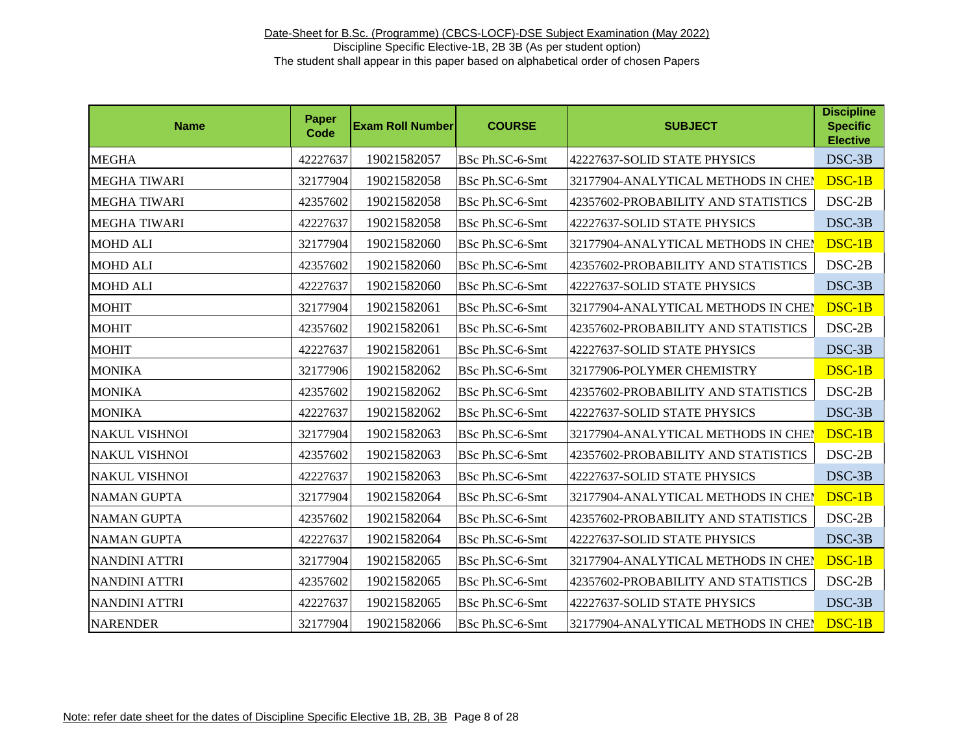| <b>Name</b>          | Paper<br>Code | <b>Exam Roll Number</b> | <b>COURSE</b>   | <b>SUBJECT</b>                      | <b>Discipline</b><br><b>Specific</b><br><b>Elective</b> |
|----------------------|---------------|-------------------------|-----------------|-------------------------------------|---------------------------------------------------------|
| <b>MEGHA</b>         | 42227637      | 19021582057             | BSc Ph.SC-6-Smt | 42227637-SOLID STATE PHYSICS        | DSC-3B                                                  |
| <b>MEGHA TIWARI</b>  | 32177904      | 19021582058             | BSc Ph.SC-6-Smt | 32177904-ANALYTICAL METHODS IN CHEI | DSC-1B                                                  |
| <b>MEGHA TIWARI</b>  | 42357602      | 19021582058             | BSc Ph.SC-6-Smt | 42357602-PROBABILITY AND STATISTICS | $DSC-2B$                                                |
| <b>MEGHA TIWARI</b>  | 42227637      | 19021582058             | BSc Ph.SC-6-Smt | 42227637-SOLID STATE PHYSICS        | DSC-3B                                                  |
| <b>MOHD ALI</b>      | 32177904      | 19021582060             | BSc Ph.SC-6-Smt | 32177904-ANALYTICAL METHODS IN CHEI | DSC-1B                                                  |
| <b>MOHD ALI</b>      | 42357602      | 19021582060             | BSc Ph.SC-6-Smt | 42357602-PROBABILITY AND STATISTICS | $DSC-2B$                                                |
| <b>MOHD ALI</b>      | 42227637      | 19021582060             | BSc Ph.SC-6-Smt | 42227637-SOLID STATE PHYSICS        | DSC-3B                                                  |
| <b>MOHIT</b>         | 32177904      | 19021582061             | BSc Ph.SC-6-Smt | 32177904-ANALYTICAL METHODS IN CHEI | DSC-1B                                                  |
| <b>MOHIT</b>         | 42357602      | 19021582061             | BSc Ph.SC-6-Smt | 42357602-PROBABILITY AND STATISTICS | $DSC-2B$                                                |
| <b>MOHIT</b>         | 42227637      | 19021582061             | BSc Ph.SC-6-Smt | 42227637-SOLID STATE PHYSICS        | DSC-3B                                                  |
| <b>MONIKA</b>        | 32177906      | 19021582062             | BSc Ph.SC-6-Smt | 32177906-POLYMER CHEMISTRY          | DSC-1B                                                  |
| <b>MONIKA</b>        | 42357602      | 19021582062             | BSc Ph.SC-6-Smt | 42357602-PROBABILITY AND STATISTICS | $DSC-2B$                                                |
| <b>MONIKA</b>        | 42227637      | 19021582062             | BSc Ph.SC-6-Smt | 42227637-SOLID STATE PHYSICS        | DSC-3B                                                  |
| <b>NAKUL VISHNOI</b> | 32177904      | 19021582063             | BSc Ph.SC-6-Smt | 32177904-ANALYTICAL METHODS IN CHEM | DSC-1B                                                  |
| <b>NAKUL VISHNOI</b> | 42357602      | 19021582063             | BSc Ph.SC-6-Smt | 42357602-PROBABILITY AND STATISTICS | $DSC-2B$                                                |
| <b>NAKUL VISHNOI</b> | 42227637      | 19021582063             | BSc Ph.SC-6-Smt | 42227637-SOLID STATE PHYSICS        | DSC-3B                                                  |
| <b>NAMAN GUPTA</b>   | 32177904      | 19021582064             | BSc Ph.SC-6-Smt | 32177904-ANALYTICAL METHODS IN CHEI | DSC-1B                                                  |
| <b>NAMAN GUPTA</b>   | 42357602      | 19021582064             | BSc Ph.SC-6-Smt | 42357602-PROBABILITY AND STATISTICS | $DSC-2B$                                                |
| <b>NAMAN GUPTA</b>   | 42227637      | 19021582064             | BSc Ph.SC-6-Smt | 42227637-SOLID STATE PHYSICS        | DSC-3B                                                  |
| <b>NANDINI ATTRI</b> | 32177904      | 19021582065             | BSc Ph.SC-6-Smt | 32177904-ANALYTICAL METHODS IN CHEM | DSC-1B                                                  |
| <b>NANDINI ATTRI</b> | 42357602      | 19021582065             | BSc Ph.SC-6-Smt | 42357602-PROBABILITY AND STATISTICS | DSC-2B                                                  |
| <b>NANDINI ATTRI</b> | 42227637      | 19021582065             | BSc Ph.SC-6-Smt | 42227637-SOLID STATE PHYSICS        | DSC-3B                                                  |
| <b>NARENDER</b>      | 32177904      | 19021582066             | BSc Ph.SC-6-Smt | 32177904-ANALYTICAL METHODS IN CHEP | DSC-1B                                                  |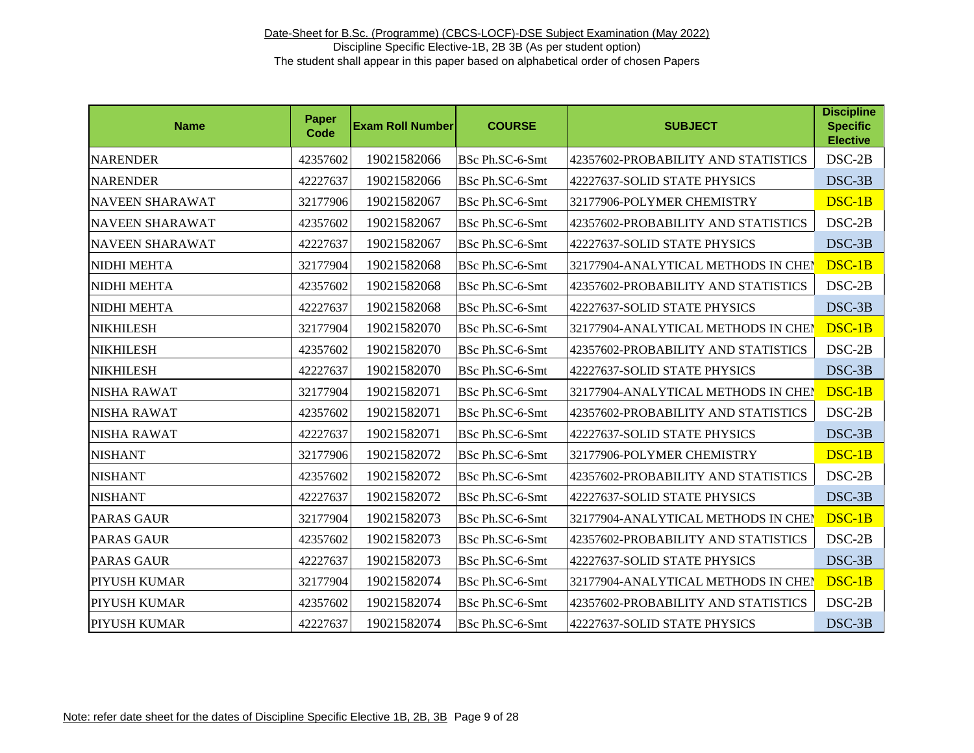| <b>Name</b>            | Paper<br><b>Code</b> | <b>Exam Roll Number</b> | <b>COURSE</b>   | <b>SUBJECT</b>                      | <b>Discipline</b><br><b>Specific</b><br><b>Elective</b> |
|------------------------|----------------------|-------------------------|-----------------|-------------------------------------|---------------------------------------------------------|
| <b>NARENDER</b>        | 42357602             | 19021582066             | BSc Ph.SC-6-Smt | 42357602-PROBABILITY AND STATISTICS | DSC-2B                                                  |
| <b>NARENDER</b>        | 42227637             | 19021582066             | BSc Ph.SC-6-Smt | 42227637-SOLID STATE PHYSICS        | DSC-3B                                                  |
| <b>NAVEEN SHARAWAT</b> | 32177906             | 19021582067             | BSc Ph.SC-6-Smt | 32177906-POLYMER CHEMISTRY          | $DSC-1B$                                                |
| <b>NAVEEN SHARAWAT</b> | 42357602             | 19021582067             | BSc Ph.SC-6-Smt | 42357602-PROBABILITY AND STATISTICS | $DSC-2B$                                                |
| <b>NAVEEN SHARAWAT</b> | 42227637             | 19021582067             | BSc Ph.SC-6-Smt | 42227637-SOLID STATE PHYSICS        | DSC-3B                                                  |
| <b>NIDHI MEHTA</b>     | 32177904             | 19021582068             | BSc Ph.SC-6-Smt | 32177904-ANALYTICAL METHODS IN CHEI | DSC-1B                                                  |
| NIDHI MEHTA            | 42357602             | 19021582068             | BSc Ph.SC-6-Smt | 42357602-PROBABILITY AND STATISTICS | $DSC-2B$                                                |
| NIDHI MEHTA            | 42227637             | 19021582068             | BSc Ph.SC-6-Smt | 42227637-SOLID STATE PHYSICS        | DSC-3B                                                  |
| <b>NIKHILESH</b>       | 32177904             | 19021582070             | BSc Ph.SC-6-Smt | 32177904-ANALYTICAL METHODS IN CHEI | DSC-1B                                                  |
| <b>NIKHILESH</b>       | 42357602             | 19021582070             | BSc Ph.SC-6-Smt | 42357602-PROBABILITY AND STATISTICS | $DSC-2B$                                                |
| <b>NIKHILESH</b>       | 42227637             | 19021582070             | BSc Ph.SC-6-Smt | 42227637-SOLID STATE PHYSICS        | DSC-3B                                                  |
| <b>NISHA RAWAT</b>     | 32177904             | 19021582071             | BSc Ph.SC-6-Smt | 32177904-ANALYTICAL METHODS IN CHEM | DSC-1B                                                  |
| NISHA RAWAT            | 42357602             | 19021582071             | BSc Ph.SC-6-Smt | 42357602-PROBABILITY AND STATISTICS | $DSC-2B$                                                |
| <b>NISHA RAWAT</b>     | 42227637             | 19021582071             | BSc Ph.SC-6-Smt | 42227637-SOLID STATE PHYSICS        | DSC-3B                                                  |
| <b>NISHANT</b>         | 32177906             | 19021582072             | BSc Ph.SC-6-Smt | 32177906-POLYMER CHEMISTRY          | DSC-1B                                                  |
| <b>NISHANT</b>         | 42357602             | 19021582072             | BSc Ph.SC-6-Smt | 42357602-PROBABILITY AND STATISTICS | $DSC-2B$                                                |
| <b>NISHANT</b>         | 42227637             | 19021582072             | BSc Ph.SC-6-Smt | 42227637-SOLID STATE PHYSICS        | DSC-3B                                                  |
| <b>PARAS GAUR</b>      | 32177904             | 19021582073             | BSc Ph.SC-6-Smt | 32177904-ANALYTICAL METHODS IN CHEI | DSC-1B                                                  |
| <b>PARAS GAUR</b>      | 42357602             | 19021582073             | BSc Ph.SC-6-Smt | 42357602-PROBABILITY AND STATISTICS | $DSC-2B$                                                |
| <b>PARAS GAUR</b>      | 42227637             | 19021582073             | BSc Ph.SC-6-Smt | 42227637-SOLID STATE PHYSICS        | DSC-3B                                                  |
| PIYUSH KUMAR           | 32177904             | 19021582074             | BSc Ph.SC-6-Smt | 32177904-ANALYTICAL METHODS IN CHEI | DSC-1B                                                  |
| PIYUSH KUMAR           | 42357602             | 19021582074             | BSc Ph.SC-6-Smt | 42357602-PROBABILITY AND STATISTICS | $DSC-2B$                                                |
| PIYUSH KUMAR           | 42227637             | 19021582074             | BSc Ph.SC-6-Smt | 42227637-SOLID STATE PHYSICS        | DSC-3B                                                  |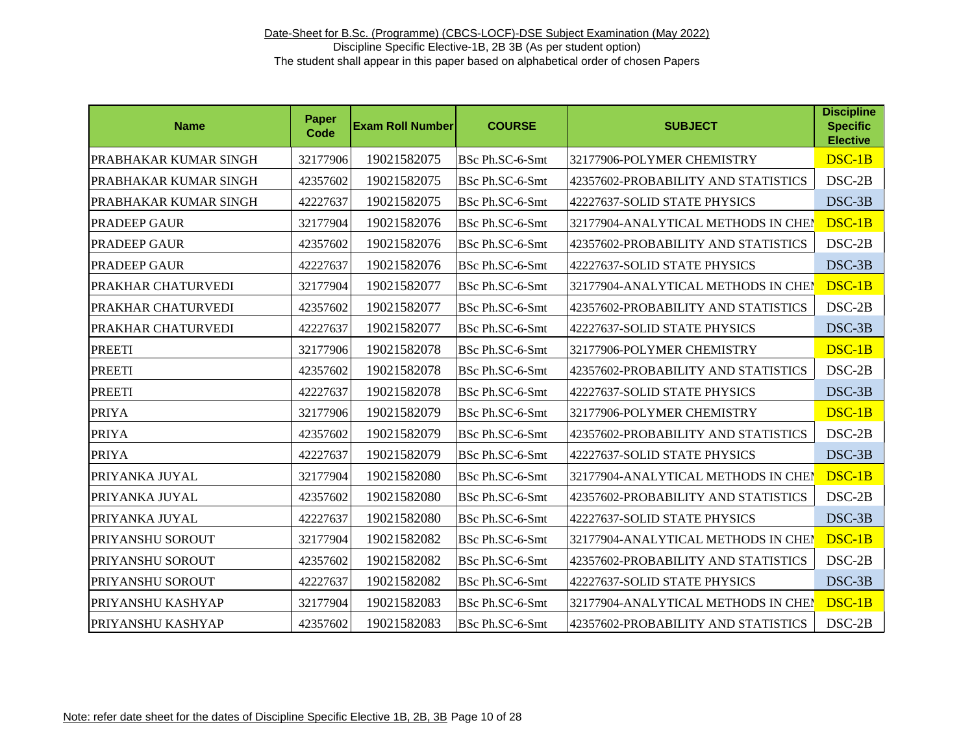| <b>Name</b>                  | Paper<br>Code | <b>Exam Roll Number</b> | <b>COURSE</b>   | <b>SUBJECT</b>                      | <b>Discipline</b><br><b>Specific</b><br><b>Elective</b> |
|------------------------------|---------------|-------------------------|-----------------|-------------------------------------|---------------------------------------------------------|
| <b>PRABHAKAR KUMAR SINGH</b> | 32177906      | 19021582075             | BSc Ph.SC-6-Smt | 32177906-POLYMER CHEMISTRY          | DSC-1B                                                  |
| PRABHAKAR KUMAR SINGH        | 42357602      | 19021582075             | BSc Ph.SC-6-Smt | 42357602-PROBABILITY AND STATISTICS | DSC-2B                                                  |
| PRABHAKAR KUMAR SINGH        | 42227637      | 19021582075             | BSc Ph.SC-6-Smt | 42227637-SOLID STATE PHYSICS        | $DSC-3B$                                                |
| <b>PRADEEP GAUR</b>          | 32177904      | 19021582076             | BSc Ph.SC-6-Smt | 32177904-ANALYTICAL METHODS IN CHEN | DSC-1B                                                  |
| PRADEEP GAUR                 | 42357602      | 19021582076             | BSc Ph.SC-6-Smt | 42357602-PROBABILITY AND STATISTICS | $DSC-2B$                                                |
| <b>PRADEEP GAUR</b>          | 42227637      | 19021582076             | BSc Ph.SC-6-Smt | 42227637-SOLID STATE PHYSICS        | $DSC-3B$                                                |
| PRAKHAR CHATURVEDI           | 32177904      | 19021582077             | BSc Ph.SC-6-Smt | 32177904-ANALYTICAL METHODS IN CHEI | DSC-1B                                                  |
| PRAKHAR CHATURVEDI           | 42357602      | 19021582077             | BSc Ph.SC-6-Smt | 42357602-PROBABILITY AND STATISTICS | $DSC-2B$                                                |
| PRAKHAR CHATURVEDI           | 42227637      | 19021582077             | BSc Ph.SC-6-Smt | 42227637-SOLID STATE PHYSICS        | DSC-3B                                                  |
| <b>PREETI</b>                | 32177906      | 19021582078             | BSc Ph.SC-6-Smt | 32177906-POLYMER CHEMISTRY          | $DSC-1B$                                                |
| <b>PREETI</b>                | 42357602      | 19021582078             | BSc Ph.SC-6-Smt | 42357602-PROBABILITY AND STATISTICS | $DSC-2B$                                                |
| <b>PREETI</b>                | 42227637      | 19021582078             | BSc Ph.SC-6-Smt | 42227637-SOLID STATE PHYSICS        | DSC-3B                                                  |
| <b>PRIYA</b>                 | 32177906      | 19021582079             | BSc Ph.SC-6-Smt | 32177906-POLYMER CHEMISTRY          | $DSC-1B$                                                |
| <b>PRIYA</b>                 | 42357602      | 19021582079             | BSc Ph.SC-6-Smt | 42357602-PROBABILITY AND STATISTICS | $DSC-2B$                                                |
| <b>PRIYA</b>                 | 42227637      | 19021582079             | BSc Ph.SC-6-Smt | 42227637-SOLID STATE PHYSICS        | DSC-3B                                                  |
| PRIYANKA JUYAL               | 32177904      | 19021582080             | BSc Ph.SC-6-Smt | 32177904-ANALYTICAL METHODS IN CHEI | $DSC-1B$                                                |
| PRIYANKA JUYAL               | 42357602      | 19021582080             | BSc Ph.SC-6-Smt | 42357602-PROBABILITY AND STATISTICS | DSC-2B                                                  |
| PRIYANKA JUYAL               | 42227637      | 19021582080             | BSc Ph.SC-6-Smt | 42227637-SOLID STATE PHYSICS        | $DSC-3B$                                                |
| PRIYANSHU SOROUT             | 32177904      | 19021582082             | BSc Ph.SC-6-Smt | 32177904-ANALYTICAL METHODS IN CHEP | DSC-1B                                                  |
| PRIYANSHU SOROUT             | 42357602      | 19021582082             | BSc Ph.SC-6-Smt | 42357602-PROBABILITY AND STATISTICS | DSC-2B                                                  |
| PRIYANSHU SOROUT             | 42227637      | 19021582082             | BSc Ph.SC-6-Smt | 42227637-SOLID STATE PHYSICS        | DSC-3B                                                  |
| PRIYANSHU KASHYAP            | 32177904      | 19021582083             | BSc Ph.SC-6-Smt | 32177904-ANALYTICAL METHODS IN CHEM | DSC-1B                                                  |
| PRIYANSHU KASHYAP            | 42357602      | 19021582083             | BSc Ph.SC-6-Smt | 42357602-PROBABILITY AND STATISTICS | DSC-2B                                                  |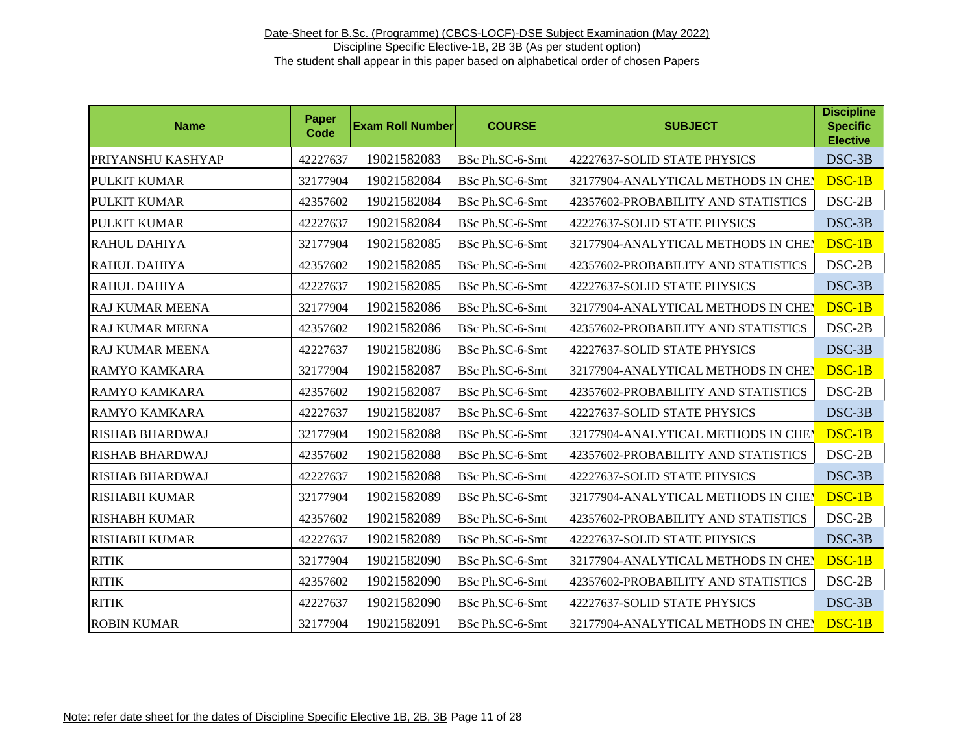| <b>Name</b>            | Paper<br>Code | <b>Exam Roll Number</b> | <b>COURSE</b>   | <b>SUBJECT</b>                      | <b>Discipline</b><br><b>Specific</b><br><b>Elective</b> |
|------------------------|---------------|-------------------------|-----------------|-------------------------------------|---------------------------------------------------------|
| PRIYANSHU KASHYAP      | 42227637      | 19021582083             | BSc Ph.SC-6-Smt | 42227637-SOLID STATE PHYSICS        | DSC-3B                                                  |
| <b>PULKIT KUMAR</b>    | 32177904      | 19021582084             | BSc Ph.SC-6-Smt | 32177904-ANALYTICAL METHODS IN CHEI | DSC-1B                                                  |
| <b>PULKIT KUMAR</b>    | 42357602      | 19021582084             | BSc Ph.SC-6-Smt | 42357602-PROBABILITY AND STATISTICS | DSC-2B                                                  |
| <b>PULKIT KUMAR</b>    | 42227637      | 19021582084             | BSc Ph.SC-6-Smt | 42227637-SOLID STATE PHYSICS        | $DSC-3B$                                                |
| RAHUL DAHIYA           | 32177904      | 19021582085             | BSc Ph.SC-6-Smt | 32177904-ANALYTICAL METHODS IN CHEI | $DSC-1B$                                                |
| <b>RAHUL DAHIYA</b>    | 42357602      | 19021582085             | BSc Ph.SC-6-Smt | 42357602-PROBABILITY AND STATISTICS | DSC-2B                                                  |
| RAHUL DAHIYA           | 42227637      | 19021582085             | BSc Ph.SC-6-Smt | 42227637-SOLID STATE PHYSICS        | DSC-3B                                                  |
| <b>RAJ KUMAR MEENA</b> | 32177904      | 19021582086             | BSc Ph.SC-6-Smt | 32177904-ANALYTICAL METHODS IN CHEI | DSC-1B                                                  |
| <b>RAJ KUMAR MEENA</b> | 42357602      | 19021582086             | BSc Ph.SC-6-Smt | 42357602-PROBABILITY AND STATISTICS | DSC-2B                                                  |
| <b>RAJ KUMAR MEENA</b> | 42227637      | 19021582086             | BSc Ph.SC-6-Smt | 42227637-SOLID STATE PHYSICS        | DSC-3B                                                  |
| <b>RAMYO KAMKARA</b>   | 32177904      | 19021582087             | BSc Ph.SC-6-Smt | 32177904-ANALYTICAL METHODS IN CHEI | DSC-1B                                                  |
| <b>RAMYO KAMKARA</b>   | 42357602      | 19021582087             | BSc Ph.SC-6-Smt | 42357602-PROBABILITY AND STATISTICS | DSC-2B                                                  |
| <b>RAMYO KAMKARA</b>   | 42227637      | 19021582087             | BSc Ph.SC-6-Smt | 42227637-SOLID STATE PHYSICS        | DSC-3B                                                  |
| <b>RISHAB BHARDWAJ</b> | 32177904      | 19021582088             | BSc Ph.SC-6-Smt | 32177904-ANALYTICAL METHODS IN CHEI | DSC-1B                                                  |
| <b>RISHAB BHARDWAJ</b> | 42357602      | 19021582088             | BSc Ph.SC-6-Smt | 42357602-PROBABILITY AND STATISTICS | $DSC-2B$                                                |
| <b>RISHAB BHARDWAJ</b> | 42227637      | 19021582088             | BSc Ph.SC-6-Smt | 42227637-SOLID STATE PHYSICS        | DSC-3B                                                  |
| <b>RISHABH KUMAR</b>   | 32177904      | 19021582089             | BSc Ph.SC-6-Smt | 32177904-ANALYTICAL METHODS IN CHEI | DSC-1B                                                  |
| <b>RISHABH KUMAR</b>   | 42357602      | 19021582089             | BSc Ph.SC-6-Smt | 42357602-PROBABILITY AND STATISTICS | $DSC-2B$                                                |
| <b>RISHABH KUMAR</b>   | 42227637      | 19021582089             | BSc Ph.SC-6-Smt | 42227637-SOLID STATE PHYSICS        | DSC-3B                                                  |
| <b>RITIK</b>           | 32177904      | 19021582090             | BSc Ph.SC-6-Smt | 32177904-ANALYTICAL METHODS IN CHEN | DSC-1B                                                  |
| <b>RITIK</b>           | 42357602      | 19021582090             | BSc Ph.SC-6-Smt | 42357602-PROBABILITY AND STATISTICS | DSC-2B                                                  |
| <b>RITIK</b>           | 42227637      | 19021582090             | BSc Ph.SC-6-Smt | 42227637-SOLID STATE PHYSICS        | DSC-3B                                                  |
| <b>ROBIN KUMAR</b>     | 32177904      | 19021582091             | BSc Ph.SC-6-Smt | 32177904-ANALYTICAL METHODS IN CHEP | DSC-1B                                                  |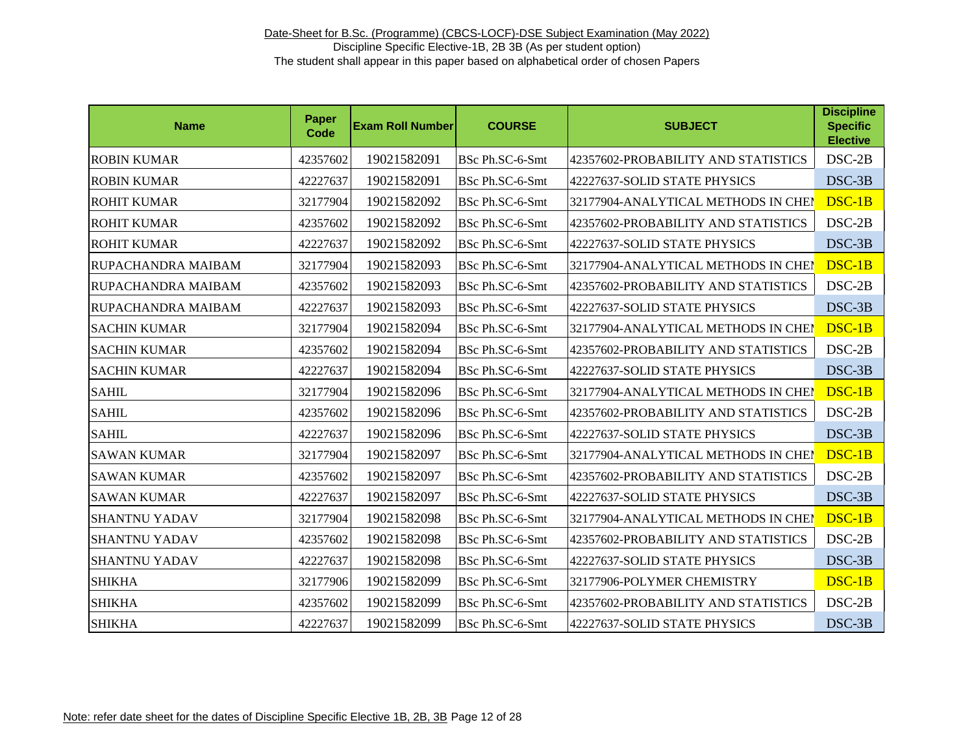| <b>Name</b>               | <b>Paper</b><br><b>Code</b> | <b>Exam Roll Number</b> | <b>COURSE</b>   | <b>SUBJECT</b>                      | <b>Discipline</b><br><b>Specific</b><br><b>Elective</b> |
|---------------------------|-----------------------------|-------------------------|-----------------|-------------------------------------|---------------------------------------------------------|
| <b>ROBIN KUMAR</b>        | 42357602                    | 19021582091             | BSc Ph.SC-6-Smt | 42357602-PROBABILITY AND STATISTICS | DSC-2B                                                  |
| <b>ROBIN KUMAR</b>        | 42227637                    | 19021582091             | BSc Ph.SC-6-Smt | 42227637-SOLID STATE PHYSICS        | DSC-3B                                                  |
| <b>ROHIT KUMAR</b>        | 32177904                    | 19021582092             | BSc Ph.SC-6-Smt | 32177904-ANALYTICAL METHODS IN CHEI | DSC-1B                                                  |
| <b>ROHIT KUMAR</b>        | 42357602                    | 19021582092             | BSc Ph.SC-6-Smt | 42357602-PROBABILITY AND STATISTICS | $DSC-2B$                                                |
| <b>ROHIT KUMAR</b>        | 42227637                    | 19021582092             | BSc Ph.SC-6-Smt | 42227637-SOLID STATE PHYSICS        | DSC-3B                                                  |
| IRUPACHANDRA MAIBAM       | 32177904                    | 19021582093             | BSc Ph.SC-6-Smt | 32177904-ANALYTICAL METHODS IN CHEI | DSC-1B                                                  |
| <b>RUPACHANDRA MAIBAM</b> | 42357602                    | 19021582093             | BSc Ph.SC-6-Smt | 42357602-PROBABILITY AND STATISTICS | $DSC-2B$                                                |
| RUPACHANDRA MAIBAM        | 42227637                    | 19021582093             | BSc Ph.SC-6-Smt | 42227637-SOLID STATE PHYSICS        | DSC-3B                                                  |
| <b>SACHIN KUMAR</b>       | 32177904                    | 19021582094             | BSc Ph.SC-6-Smt | 32177904-ANALYTICAL METHODS IN CHEI | DSC-1B                                                  |
| <b>SACHIN KUMAR</b>       | 42357602                    | 19021582094             | BSc Ph.SC-6-Smt | 42357602-PROBABILITY AND STATISTICS | $DSC-2B$                                                |
| <b>SACHIN KUMAR</b>       | 42227637                    | 19021582094             | BSc Ph.SC-6-Smt | 42227637-SOLID STATE PHYSICS        | DSC-3B                                                  |
| <b>SAHIL</b>              | 32177904                    | 19021582096             | BSc Ph.SC-6-Smt | 32177904-ANALYTICAL METHODS IN CHEI | DSC-1B                                                  |
| <b>SAHIL</b>              | 42357602                    | 19021582096             | BSc Ph.SC-6-Smt | 42357602-PROBABILITY AND STATISTICS | $DSC-2B$                                                |
| <b>SAHIL</b>              | 42227637                    | 19021582096             | BSc Ph.SC-6-Smt | 42227637-SOLID STATE PHYSICS        | DSC-3B                                                  |
| <b>SAWAN KUMAR</b>        | 32177904                    | 19021582097             | BSc Ph.SC-6-Smt | 32177904-ANALYTICAL METHODS IN CHEI | $DSC-1B$                                                |
| <b>SAWAN KUMAR</b>        | 42357602                    | 19021582097             | BSc Ph.SC-6-Smt | 42357602-PROBABILITY AND STATISTICS | DSC-2B                                                  |
| <b>SAWAN KUMAR</b>        | 42227637                    | 19021582097             | BSc Ph.SC-6-Smt | 42227637-SOLID STATE PHYSICS        | DSC-3B                                                  |
| <b>SHANTNU YADAV</b>      | 32177904                    | 19021582098             | BSc Ph.SC-6-Smt | 32177904-ANALYTICAL METHODS IN CHEI | DSC-1B                                                  |
| <b>SHANTNU YADAV</b>      | 42357602                    | 19021582098             | BSc Ph.SC-6-Smt | 42357602-PROBABILITY AND STATISTICS | DSC-2B                                                  |
| <b>SHANTNU YADAV</b>      | 42227637                    | 19021582098             | BSc Ph.SC-6-Smt | 42227637-SOLID STATE PHYSICS        | DSC-3B                                                  |
| <b>SHIKHA</b>             | 32177906                    | 19021582099             | BSc Ph.SC-6-Smt | 32177906-POLYMER CHEMISTRY          | DSC-1B                                                  |
| <b>SHIKHA</b>             | 42357602                    | 19021582099             | BSc Ph.SC-6-Smt | 42357602-PROBABILITY AND STATISTICS | DSC-2B                                                  |
| <b>SHIKHA</b>             | 42227637                    | 19021582099             | BSc Ph.SC-6-Smt | 42227637-SOLID STATE PHYSICS        | DSC-3B                                                  |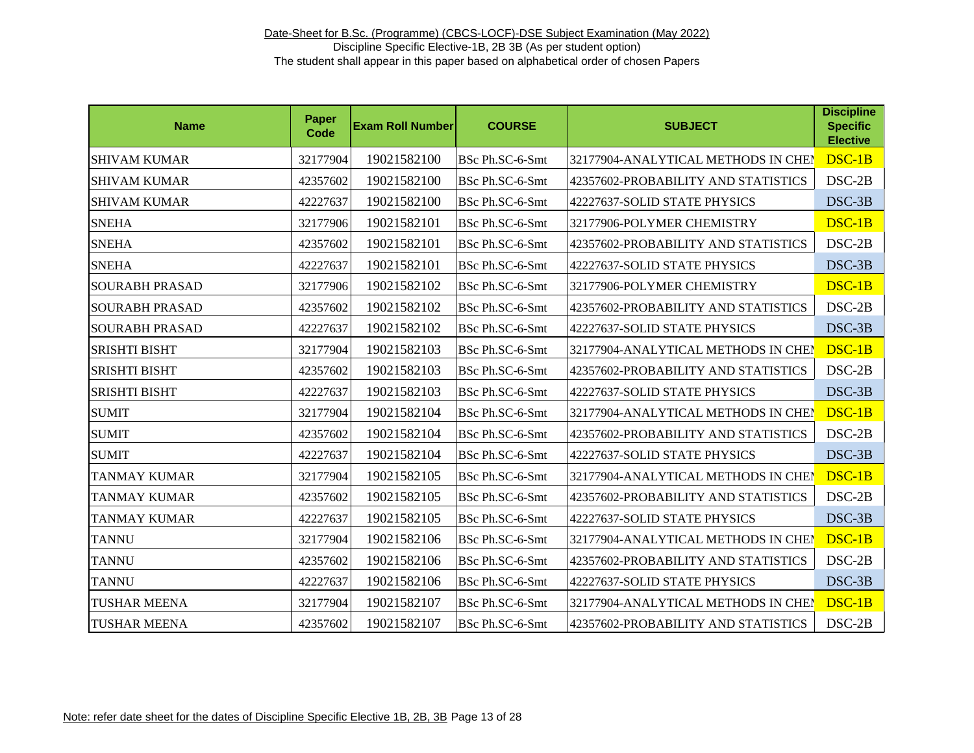| <b>Name</b>           | Paper<br>Code | <b>Exam Roll Number</b> | <b>COURSE</b>   | <b>SUBJECT</b>                      | <b>Discipline</b><br><b>Specific</b><br><b>Elective</b> |
|-----------------------|---------------|-------------------------|-----------------|-------------------------------------|---------------------------------------------------------|
| <b>SHIVAM KUMAR</b>   | 32177904      | 19021582100             | BSc Ph.SC-6-Smt | 32177904-ANALYTICAL METHODS IN CHEI | DSC-1B                                                  |
| <b>SHIVAM KUMAR</b>   | 42357602      | 19021582100             | BSc Ph.SC-6-Smt | 42357602-PROBABILITY AND STATISTICS | $DSC-2B$                                                |
| <b>SHIVAM KUMAR</b>   | 42227637      | 19021582100             | BSc Ph.SC-6-Smt | 42227637-SOLID STATE PHYSICS        | DSC-3B                                                  |
| <b>SNEHA</b>          | 32177906      | 19021582101             | BSc Ph.SC-6-Smt | 32177906-POLYMER CHEMISTRY          | DSC-1B                                                  |
| <b>SNEHA</b>          | 42357602      | 19021582101             | BSc Ph.SC-6-Smt | 42357602-PROBABILITY AND STATISTICS | $DSC-2B$                                                |
| <b>SNEHA</b>          | 42227637      | 19021582101             | BSc Ph.SC-6-Smt | 42227637-SOLID STATE PHYSICS        | DSC-3B                                                  |
| <b>SOURABH PRASAD</b> | 32177906      | 19021582102             | BSc Ph.SC-6-Smt | 32177906-POLYMER CHEMISTRY          | DSC-1B                                                  |
| <b>SOURABH PRASAD</b> | 42357602      | 19021582102             | BSc Ph.SC-6-Smt | 42357602-PROBABILITY AND STATISTICS | DSC-2B                                                  |
| <b>SOURABH PRASAD</b> | 42227637      | 19021582102             | BSc Ph.SC-6-Smt | 42227637-SOLID STATE PHYSICS        | DSC-3B                                                  |
| <b>SRISHTI BISHT</b>  | 32177904      | 19021582103             | BSc Ph.SC-6-Smt | 32177904-ANALYTICAL METHODS IN CHEN | DSC-1B                                                  |
| <b>SRISHTI BISHT</b>  | 42357602      | 19021582103             | BSc Ph.SC-6-Smt | 42357602-PROBABILITY AND STATISTICS | $DSC-2B$                                                |
| <b>SRISHTI BISHT</b>  | 42227637      | 19021582103             | BSc Ph.SC-6-Smt | 42227637-SOLID STATE PHYSICS        | DSC-3B                                                  |
| <b>SUMIT</b>          | 32177904      | 19021582104             | BSc Ph.SC-6-Smt | 32177904-ANALYTICAL METHODS IN CHEI | DSC-1B                                                  |
| <b>SUMIT</b>          | 42357602      | 19021582104             | BSc Ph.SC-6-Smt | 42357602-PROBABILITY AND STATISTICS | $DSC-2B$                                                |
| <b>SUMIT</b>          | 42227637      | 19021582104             | BSc Ph.SC-6-Smt | 42227637-SOLID STATE PHYSICS        | DSC-3B                                                  |
| <b>TANMAY KUMAR</b>   | 32177904      | 19021582105             | BSc Ph.SC-6-Smt | 32177904-ANALYTICAL METHODS IN CHEI | DSC-1B                                                  |
| <b>TANMAY KUMAR</b>   | 42357602      | 19021582105             | BSc Ph.SC-6-Smt | 42357602-PROBABILITY AND STATISTICS | DSC-2B                                                  |
| <b>TANMAY KUMAR</b>   | 42227637      | 19021582105             | BSc Ph.SC-6-Smt | 42227637-SOLID STATE PHYSICS        | DSC-3B                                                  |
| <b>TANNU</b>          | 32177904      | 19021582106             | BSc Ph.SC-6-Smt | 32177904-ANALYTICAL METHODS IN CHEI | DSC-1B                                                  |
| <b>TANNU</b>          | 42357602      | 19021582106             | BSc Ph.SC-6-Smt | 42357602-PROBABILITY AND STATISTICS | $DSC-2B$                                                |
| <b>TANNU</b>          | 42227637      | 19021582106             | BSc Ph.SC-6-Smt | 42227637-SOLID STATE PHYSICS        | DSC-3B                                                  |
| <b>TUSHAR MEENA</b>   | 32177904      | 19021582107             | BSc Ph.SC-6-Smt | 32177904-ANALYTICAL METHODS IN CHEI | DSC-1B                                                  |
| <b>TUSHAR MEENA</b>   | 42357602      | 19021582107             | BSc Ph.SC-6-Smt | 42357602-PROBABILITY AND STATISTICS | DSC-2B                                                  |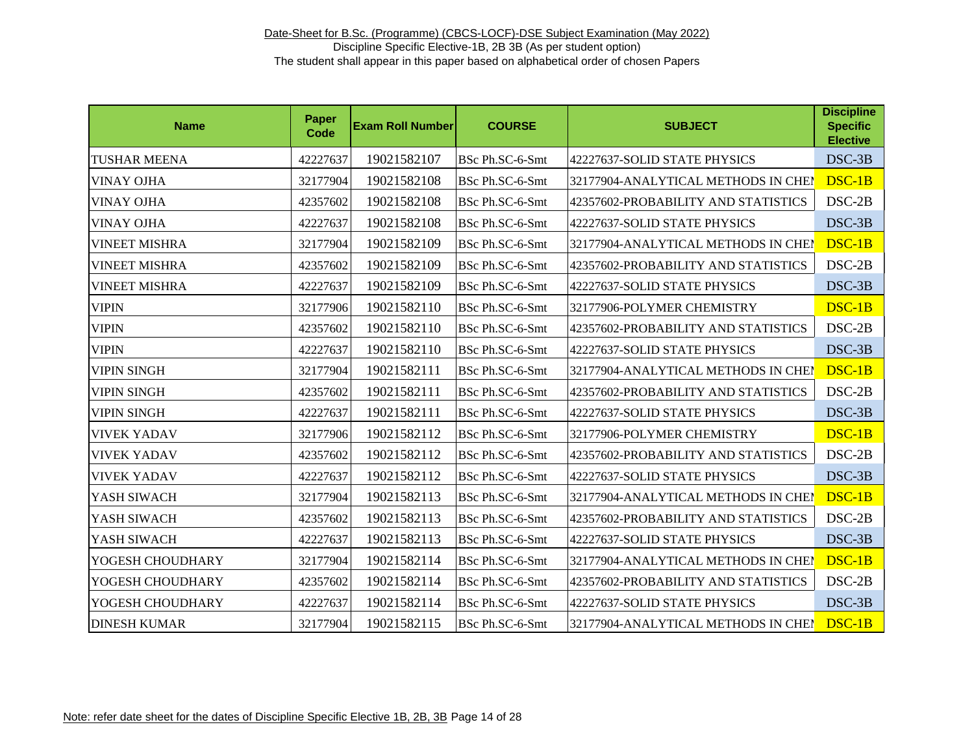| <b>Name</b>          | Paper<br><b>Code</b> | <b>Exam Roll Number</b> | <b>COURSE</b>   | <b>SUBJECT</b>                      | <b>Discipline</b><br><b>Specific</b><br><b>Elective</b> |
|----------------------|----------------------|-------------------------|-----------------|-------------------------------------|---------------------------------------------------------|
| <b>TUSHAR MEENA</b>  | 42227637             | 19021582107             | BSc Ph.SC-6-Smt | 42227637-SOLID STATE PHYSICS        | DSC-3B                                                  |
| <b>VINAY OJHA</b>    | 32177904             | 19021582108             | BSc Ph.SC-6-Smt | 32177904-ANALYTICAL METHODS IN CHEM | DSC-1B                                                  |
| <b>VINAY OJHA</b>    | 42357602             | 19021582108             | BSc Ph.SC-6-Smt | 42357602-PROBABILITY AND STATISTICS | $DSC-2B$                                                |
| <b>VINAY OJHA</b>    | 42227637             | 19021582108             | BSc Ph.SC-6-Smt | 42227637-SOLID STATE PHYSICS        | $DSC-3B$                                                |
| <b>VINEET MISHRA</b> | 32177904             | 19021582109             | BSc Ph.SC-6-Smt | 32177904-ANALYTICAL METHODS IN CHEM | DSC-1B                                                  |
| <b>VINEET MISHRA</b> | 42357602             | 19021582109             | BSc Ph.SC-6-Smt | 42357602-PROBABILITY AND STATISTICS | $DSC-2B$                                                |
| <b>VINEET MISHRA</b> | 42227637             | 19021582109             | BSc Ph.SC-6-Smt | 42227637-SOLID STATE PHYSICS        | DSC-3B                                                  |
| <b>VIPIN</b>         | 32177906             | 19021582110             | BSc Ph.SC-6-Smt | 32177906-POLYMER CHEMISTRY          | $DSC-1B$                                                |
| <b>VIPIN</b>         | 42357602             | 19021582110             | BSc Ph.SC-6-Smt | 42357602-PROBABILITY AND STATISTICS | $DSC-2B$                                                |
| <b>VIPIN</b>         | 42227637             | 19021582110             | BSc Ph.SC-6-Smt | 42227637-SOLID STATE PHYSICS        | DSC-3B                                                  |
| <b>VIPIN SINGH</b>   | 32177904             | 19021582111             | BSc Ph.SC-6-Smt | 32177904-ANALYTICAL METHODS IN CHEI | $DSC-1B$                                                |
| <b>VIPIN SINGH</b>   | 42357602             | 19021582111             | BSc Ph.SC-6-Smt | 42357602-PROBABILITY AND STATISTICS | $DSC-2B$                                                |
| <b>VIPIN SINGH</b>   | 42227637             | 19021582111             | BSc Ph.SC-6-Smt | 42227637-SOLID STATE PHYSICS        | DSC-3B                                                  |
| <b>VIVEK YADAV</b>   | 32177906             | 19021582112             | BSc Ph.SC-6-Smt | 32177906-POLYMER CHEMISTRY          | DSC-1B                                                  |
| <b>VIVEK YADAV</b>   | 42357602             | 19021582112             | BSc Ph.SC-6-Smt | 42357602-PROBABILITY AND STATISTICS | $DSC-2B$                                                |
| <b>VIVEK YADAV</b>   | 42227637             | 19021582112             | BSc Ph.SC-6-Smt | 42227637-SOLID STATE PHYSICS        | DSC-3B                                                  |
| YASH SIWACH          | 32177904             | 19021582113             | BSc Ph.SC-6-Smt | 32177904-ANALYTICAL METHODS IN CHEI | DSC-1B                                                  |
| YASH SIWACH          | 42357602             | 19021582113             | BSc Ph.SC-6-Smt | 42357602-PROBABILITY AND STATISTICS | $DSC-2B$                                                |
| YASH SIWACH          | 42227637             | 19021582113             | BSc Ph.SC-6-Smt | 42227637-SOLID STATE PHYSICS        | DSC-3B                                                  |
| YOGESH CHOUDHARY     | 32177904             | 19021582114             | BSc Ph.SC-6-Smt | 32177904-ANALYTICAL METHODS IN CHEI | DSC-1B                                                  |
| YOGESH CHOUDHARY     | 42357602             | 19021582114             | BSc Ph.SC-6-Smt | 42357602-PROBABILITY AND STATISTICS | DSC-2B                                                  |
| YOGESH CHOUDHARY     | 42227637             | 19021582114             | BSc Ph.SC-6-Smt | 42227637-SOLID STATE PHYSICS        | DSC-3B                                                  |
| <b>DINESH KUMAR</b>  | 32177904             | 19021582115             | BSc Ph.SC-6-Smt | 32177904-ANALYTICAL METHODS IN CHEP | DSC-1B                                                  |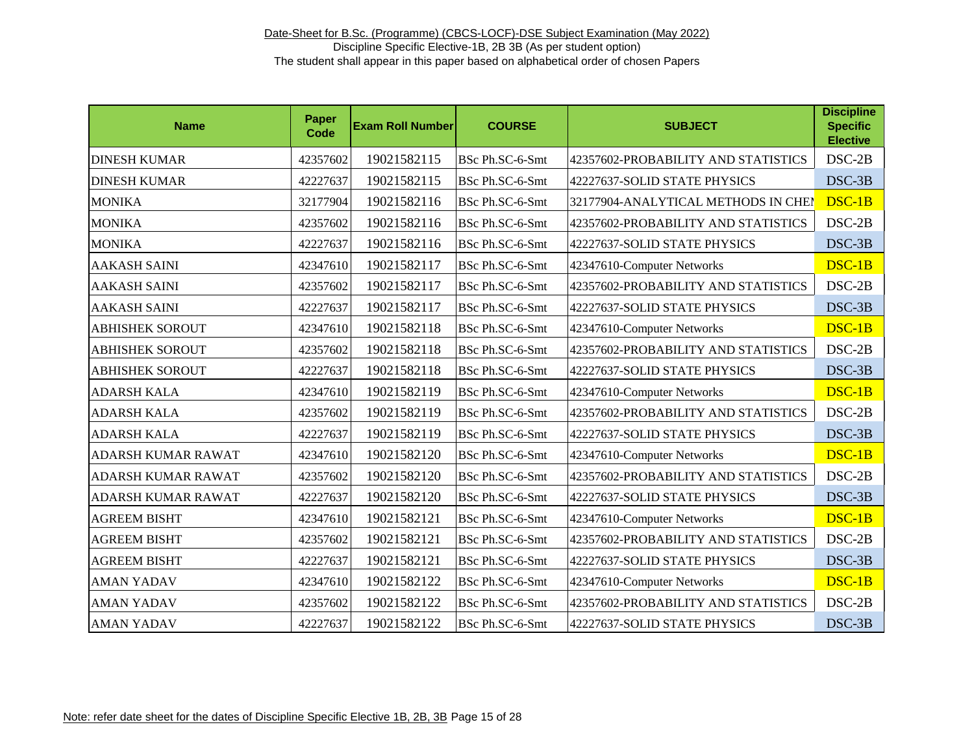| <b>Name</b>               | Paper<br><b>Code</b> | <b>Exam Roll Number</b> | <b>COURSE</b>   | <b>SUBJECT</b>                      | <b>Discipline</b><br><b>Specific</b><br><b>Elective</b> |
|---------------------------|----------------------|-------------------------|-----------------|-------------------------------------|---------------------------------------------------------|
| <b>DINESH KUMAR</b>       | 42357602             | 19021582115             | BSc Ph.SC-6-Smt | 42357602-PROBABILITY AND STATISTICS | DSC-2B                                                  |
| <b>DINESH KUMAR</b>       | 42227637             | 19021582115             | BSc Ph.SC-6-Smt | 42227637-SOLID STATE PHYSICS        | DSC-3B                                                  |
| <b>MONIKA</b>             | 32177904             | 19021582116             | BSc Ph.SC-6-Smt | 32177904-ANALYTICAL METHODS IN CHEM | DSC-1B                                                  |
| <b>MONIKA</b>             | 42357602             | 19021582116             | BSc Ph.SC-6-Smt | 42357602-PROBABILITY AND STATISTICS | $DSC-2B$                                                |
| <b>MONIKA</b>             | 42227637             | 19021582116             | BSc Ph.SC-6-Smt | 42227637-SOLID STATE PHYSICS        | DSC-3B                                                  |
| <b>AAKASH SAINI</b>       | 42347610             | 19021582117             | BSc Ph.SC-6-Smt | 42347610-Computer Networks          | $DSC-1B$                                                |
| <b>AAKASH SAINI</b>       | 42357602             | 19021582117             | BSc Ph.SC-6-Smt | 42357602-PROBABILITY AND STATISTICS | $DSC-2B$                                                |
| <b>AAKASH SAINI</b>       | 42227637             | 19021582117             | BSc Ph.SC-6-Smt | 42227637-SOLID STATE PHYSICS        | DSC-3B                                                  |
| <b>ABHISHEK SOROUT</b>    | 42347610             | 19021582118             | BSc Ph.SC-6-Smt | 42347610-Computer Networks          | $DSC-1B$                                                |
| <b>ABHISHEK SOROUT</b>    | 42357602             | 19021582118             | BSc Ph.SC-6-Smt | 42357602-PROBABILITY AND STATISTICS | $DSC-2B$                                                |
| <b>ABHISHEK SOROUT</b>    | 42227637             | 19021582118             | BSc Ph.SC-6-Smt | 42227637-SOLID STATE PHYSICS        | DSC-3B                                                  |
| <b>ADARSH KALA</b>        | 42347610             | 19021582119             | BSc Ph.SC-6-Smt | 42347610-Computer Networks          | DSC-1B                                                  |
| <b>ADARSH KALA</b>        | 42357602             | 19021582119             | BSc Ph.SC-6-Smt | 42357602-PROBABILITY AND STATISTICS | $DSC-2B$                                                |
| <b>ADARSH KALA</b>        | 42227637             | 19021582119             | BSc Ph.SC-6-Smt | 42227637-SOLID STATE PHYSICS        | DSC-3B                                                  |
| <b>ADARSH KUMAR RAWAT</b> | 42347610             | 19021582120             | BSc Ph.SC-6-Smt | 42347610-Computer Networks          | DSC-1B                                                  |
| <b>ADARSH KUMAR RAWAT</b> | 42357602             | 19021582120             | BSc Ph.SC-6-Smt | 42357602-PROBABILITY AND STATISTICS | $DSC-2B$                                                |
| <b>ADARSH KUMAR RAWAT</b> | 42227637             | 19021582120             | BSc Ph.SC-6-Smt | 42227637-SOLID STATE PHYSICS        | DSC-3B                                                  |
| <b>AGREEM BISHT</b>       | 42347610             | 19021582121             | BSc Ph.SC-6-Smt | 42347610-Computer Networks          | $DSC-1B$                                                |
| <b>AGREEM BISHT</b>       | 42357602             | 19021582121             | BSc Ph.SC-6-Smt | 42357602-PROBABILITY AND STATISTICS | $DSC-2B$                                                |
| <b>AGREEM BISHT</b>       | 42227637             | 19021582121             | BSc Ph.SC-6-Smt | 42227637-SOLID STATE PHYSICS        | DSC-3B                                                  |
| <b>AMAN YADAV</b>         | 42347610             | 19021582122             | BSc Ph.SC-6-Smt | 42347610-Computer Networks          | DSC-1B                                                  |
| <b>AMAN YADAV</b>         | 42357602             | 19021582122             | BSc Ph.SC-6-Smt | 42357602-PROBABILITY AND STATISTICS | $DSC-2B$                                                |
| <b>AMAN YADAV</b>         | 42227637             | 19021582122             | BSc Ph.SC-6-Smt | 42227637-SOLID STATE PHYSICS        | DSC-3B                                                  |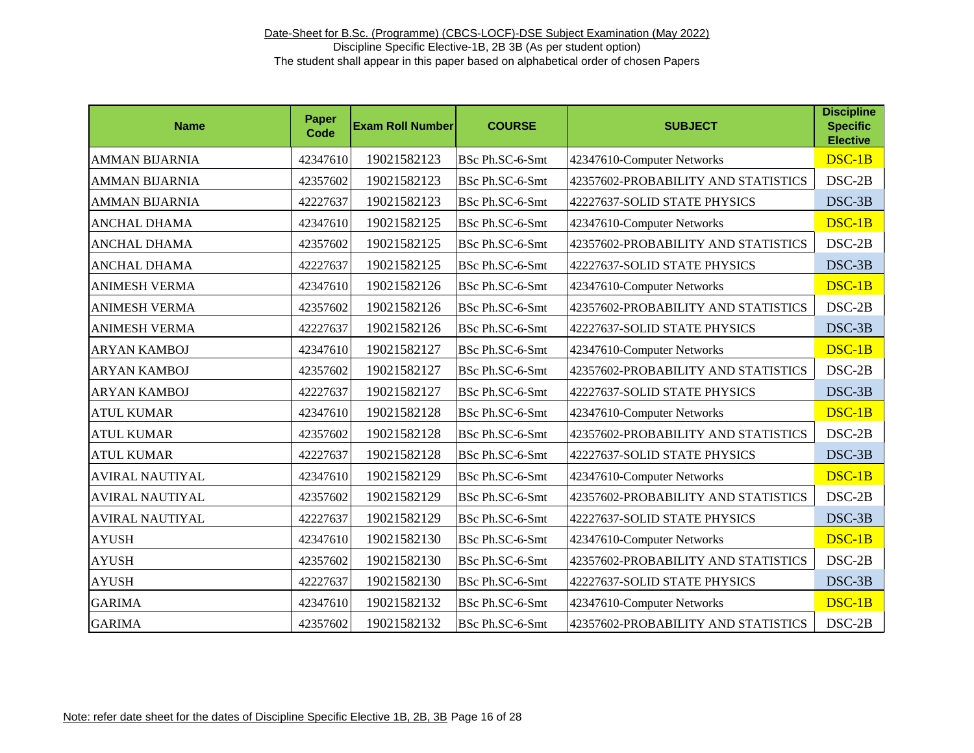| <b>Name</b>            | Paper<br>Code | <b>Exam Roll Number</b> | <b>COURSE</b>   | <b>SUBJECT</b>                      | <b>Discipline</b><br><b>Specific</b><br><b>Elective</b> |
|------------------------|---------------|-------------------------|-----------------|-------------------------------------|---------------------------------------------------------|
| <b>AMMAN BIJARNIA</b>  | 42347610      | 19021582123             | BSc Ph.SC-6-Smt | 42347610-Computer Networks          | DSC-1B                                                  |
| <b>AMMAN BIJARNIA</b>  | 42357602      | 19021582123             | BSc Ph.SC-6-Smt | 42357602-PROBABILITY AND STATISTICS | DSC-2B                                                  |
| <b>AMMAN BIJARNIA</b>  | 42227637      | 19021582123             | BSc Ph.SC-6-Smt | 42227637-SOLID STATE PHYSICS        | DSC-3B                                                  |
| <b>ANCHAL DHAMA</b>    | 42347610      | 19021582125             | BSc Ph.SC-6-Smt | 42347610-Computer Networks          | $DSC-1B$                                                |
| <b>ANCHAL DHAMA</b>    | 42357602      | 19021582125             | BSc Ph.SC-6-Smt | 42357602-PROBABILITY AND STATISTICS | DSC-2B                                                  |
| <b>ANCHAL DHAMA</b>    | 42227637      | 19021582125             | BSc Ph.SC-6-Smt | 42227637-SOLID STATE PHYSICS        | DSC-3B                                                  |
| <b>ANIMESH VERMA</b>   | 42347610      | 19021582126             | BSc Ph.SC-6-Smt | 42347610-Computer Networks          | $DSC-1B$                                                |
| <b>ANIMESH VERMA</b>   | 42357602      | 19021582126             | BSc Ph.SC-6-Smt | 42357602-PROBABILITY AND STATISTICS | $DSC-2B$                                                |
| <b>ANIMESH VERMA</b>   | 42227637      | 19021582126             | BSc Ph.SC-6-Smt | 42227637-SOLID STATE PHYSICS        | DSC-3B                                                  |
| <b>ARYAN KAMBOJ</b>    | 42347610      | 19021582127             | BSc Ph.SC-6-Smt | 42347610-Computer Networks          | $DSC-1B$                                                |
| <b>ARYAN KAMBOJ</b>    | 42357602      | 19021582127             | BSc Ph.SC-6-Smt | 42357602-PROBABILITY AND STATISTICS | $DSC-2B$                                                |
| <b>ARYAN KAMBOJ</b>    | 42227637      | 19021582127             | BSc Ph.SC-6-Smt | 42227637-SOLID STATE PHYSICS        | DSC-3B                                                  |
| <b>ATUL KUMAR</b>      | 42347610      | 19021582128             | BSc Ph.SC-6-Smt | 42347610-Computer Networks          | $DSC-1B$                                                |
| <b>ATUL KUMAR</b>      | 42357602      | 19021582128             | BSc Ph.SC-6-Smt | 42357602-PROBABILITY AND STATISTICS | $DSC-2B$                                                |
| <b>ATUL KUMAR</b>      | 42227637      | 19021582128             | BSc Ph.SC-6-Smt | 42227637-SOLID STATE PHYSICS        | $DSC-3B$                                                |
| <b>AVIRAL NAUTIYAL</b> | 42347610      | 19021582129             | BSc Ph.SC-6-Smt | 42347610-Computer Networks          | $DSC-1B$                                                |
| AVIRAL NAUTIYAL        | 42357602      | 19021582129             | BSc Ph.SC-6-Smt | 42357602-PROBABILITY AND STATISTICS | $DSC-2B$                                                |
| <b>AVIRAL NAUTIYAL</b> | 42227637      | 19021582129             | BSc Ph.SC-6-Smt | 42227637-SOLID STATE PHYSICS        | DSC-3B                                                  |
| <b>AYUSH</b>           | 42347610      | 19021582130             | BSc Ph.SC-6-Smt | 42347610-Computer Networks          | $DSC-1B$                                                |
| <b>AYUSH</b>           | 42357602      | 19021582130             | BSc Ph.SC-6-Smt | 42357602-PROBABILITY AND STATISTICS | $DSC-2B$                                                |
| <b>AYUSH</b>           | 42227637      | 19021582130             | BSc Ph.SC-6-Smt | 42227637-SOLID STATE PHYSICS        | DSC-3B                                                  |
| <b>GARIMA</b>          | 42347610      | 19021582132             | BSc Ph.SC-6-Smt | 42347610-Computer Networks          | DSC-1B                                                  |
| <b>GARIMA</b>          | 42357602      | 19021582132             | BSc Ph.SC-6-Smt | 42357602-PROBABILITY AND STATISTICS | DSC-2B                                                  |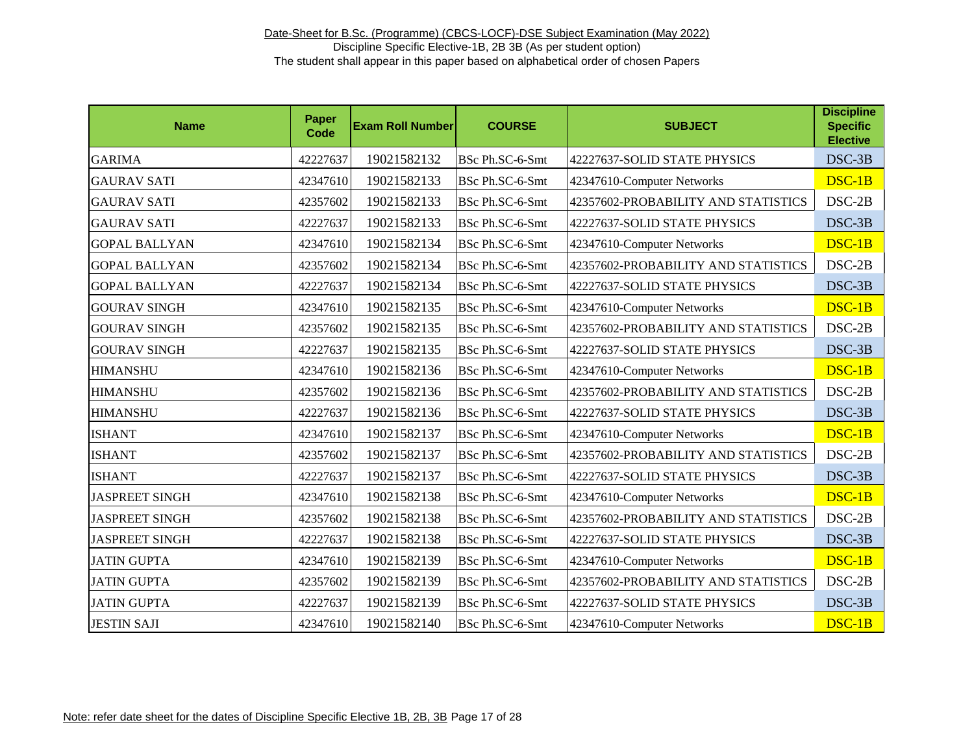| <b>Name</b>           | Paper<br><b>Code</b> | <b>Exam Roll Number</b> | <b>COURSE</b>   | <b>SUBJECT</b>                      | <b>Discipline</b><br><b>Specific</b><br><b>Elective</b> |
|-----------------------|----------------------|-------------------------|-----------------|-------------------------------------|---------------------------------------------------------|
| <b>GARIMA</b>         | 42227637             | 19021582132             | BSc Ph.SC-6-Smt | 42227637-SOLID STATE PHYSICS        | DSC-3B                                                  |
| <b>GAURAV SATI</b>    | 42347610             | 19021582133             | BSc Ph.SC-6-Smt | 42347610-Computer Networks          | DSC-1B                                                  |
| <b>GAURAV SATI</b>    | 42357602             | 19021582133             | BSc Ph.SC-6-Smt | 42357602-PROBABILITY AND STATISTICS | $DSC-2B$                                                |
| <b>GAURAV SATI</b>    | 42227637             | 19021582133             | BSc Ph.SC-6-Smt | 42227637-SOLID STATE PHYSICS        | DSC-3B                                                  |
| <b>GOPAL BALLYAN</b>  | 42347610             | 19021582134             | BSc Ph.SC-6-Smt | 42347610-Computer Networks          | $DSC-1B$                                                |
| <b>GOPAL BALLYAN</b>  | 42357602             | 19021582134             | BSc Ph.SC-6-Smt | 42357602-PROBABILITY AND STATISTICS | $DSC-2B$                                                |
| <b>GOPAL BALLYAN</b>  | 42227637             | 19021582134             | BSc Ph.SC-6-Smt | 42227637-SOLID STATE PHYSICS        | DSC-3B                                                  |
| <b>GOURAV SINGH</b>   | 42347610             | 19021582135             | BSc Ph.SC-6-Smt | 42347610-Computer Networks          | $DSC-1B$                                                |
| <b>GOURAV SINGH</b>   | 42357602             | 19021582135             | BSc Ph.SC-6-Smt | 42357602-PROBABILITY AND STATISTICS | $DSC-2B$                                                |
| <b>GOURAV SINGH</b>   | 42227637             | 19021582135             | BSc Ph.SC-6-Smt | 42227637-SOLID STATE PHYSICS        | DSC-3B                                                  |
| <b>HIMANSHU</b>       | 42347610             | 19021582136             | BSc Ph.SC-6-Smt | 42347610-Computer Networks          | $DSC-1B$                                                |
| <b>HIMANSHU</b>       | 42357602             | 19021582136             | BSc Ph.SC-6-Smt | 42357602-PROBABILITY AND STATISTICS | $DSC-2B$                                                |
| <b>HIMANSHU</b>       | 42227637             | 19021582136             | BSc Ph.SC-6-Smt | 42227637-SOLID STATE PHYSICS        | DSC-3B                                                  |
| <b>ISHANT</b>         | 42347610             | 19021582137             | BSc Ph.SC-6-Smt | 42347610-Computer Networks          | $DSC-1B$                                                |
| <b>ISHANT</b>         | 42357602             | 19021582137             | BSc Ph.SC-6-Smt | 42357602-PROBABILITY AND STATISTICS | $DSC-2B$                                                |
| <b>ISHANT</b>         | 42227637             | 19021582137             | BSc Ph.SC-6-Smt | 42227637-SOLID STATE PHYSICS        | DSC-3B                                                  |
| <b>JASPREET SINGH</b> | 42347610             | 19021582138             | BSc Ph.SC-6-Smt | 42347610-Computer Networks          | $DSC-1B$                                                |
| <b>JASPREET SINGH</b> | 42357602             | 19021582138             | BSc Ph.SC-6-Smt | 42357602-PROBABILITY AND STATISTICS | $DSC-2B$                                                |
| <b>JASPREET SINGH</b> | 42227637             | 19021582138             | BSc Ph.SC-6-Smt | 42227637-SOLID STATE PHYSICS        | DSC-3B                                                  |
| <b>JATIN GUPTA</b>    | 42347610             | 19021582139             | BSc Ph.SC-6-Smt | 42347610-Computer Networks          | DSC-1B                                                  |
| <b>JATIN GUPTA</b>    | 42357602             | 19021582139             | BSc Ph.SC-6-Smt | 42357602-PROBABILITY AND STATISTICS | $DSC-2B$                                                |
| <b>JATIN GUPTA</b>    | 42227637             | 19021582139             | BSc Ph.SC-6-Smt | 42227637-SOLID STATE PHYSICS        | DSC-3B                                                  |
| <b>JESTIN SAJI</b>    | 42347610             | 19021582140             | BSc Ph.SC-6-Smt | 42347610-Computer Networks          | DSC-1B                                                  |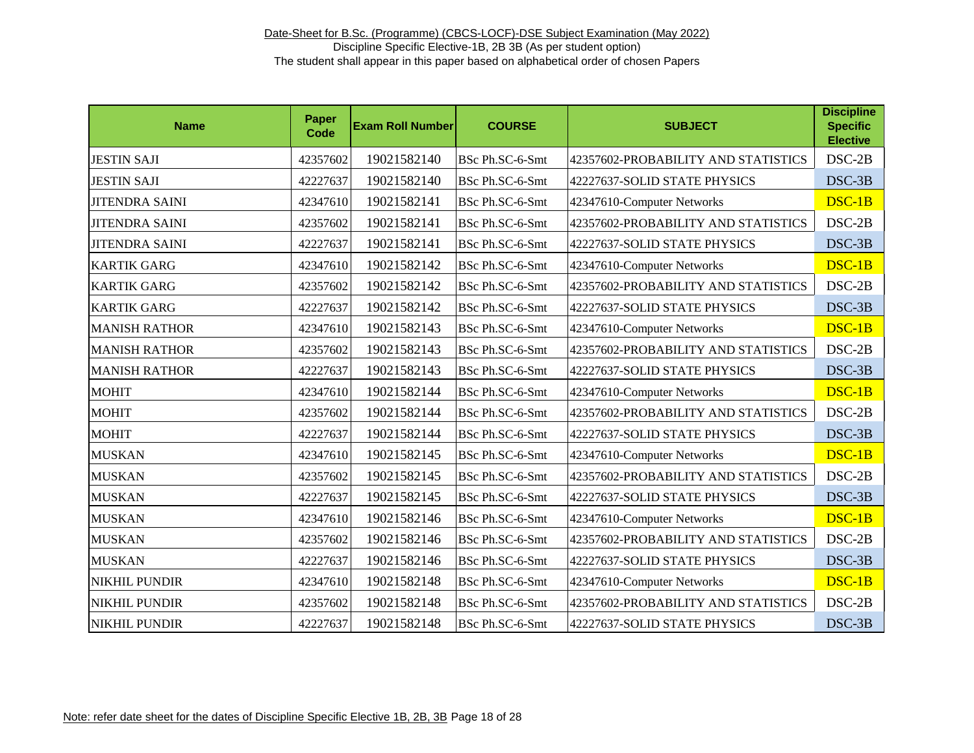| <b>Name</b>           | Paper<br><b>Code</b> | <b>Exam Roll Number</b> | <b>COURSE</b>   | <b>SUBJECT</b>                      | <b>Discipline</b><br><b>Specific</b><br><b>Elective</b> |
|-----------------------|----------------------|-------------------------|-----------------|-------------------------------------|---------------------------------------------------------|
| <b>JESTIN SAJI</b>    | 42357602             | 19021582140             | BSc Ph.SC-6-Smt | 42357602-PROBABILITY AND STATISTICS | $DSC-2B$                                                |
| <b>JESTIN SAJI</b>    | 42227637             | 19021582140             | BSc Ph.SC-6-Smt | 42227637-SOLID STATE PHYSICS        | DSC-3B                                                  |
| <b>JITENDRA SAINI</b> | 42347610             | 19021582141             | BSc Ph.SC-6-Smt | 42347610-Computer Networks          | DSC-1B                                                  |
| <b>JITENDRA SAINI</b> | 42357602             | 19021582141             | BSc Ph.SC-6-Smt | 42357602-PROBABILITY AND STATISTICS | $DSC-2B$                                                |
| <b>JITENDRA SAINI</b> | 42227637             | 19021582141             | BSc Ph.SC-6-Smt | 42227637-SOLID STATE PHYSICS        | DSC-3B                                                  |
| <b>KARTIK GARG</b>    | 42347610             | 19021582142             | BSc Ph.SC-6-Smt | 42347610-Computer Networks          | $DSC-1B$                                                |
| <b>KARTIK GARG</b>    | 42357602             | 19021582142             | BSc Ph.SC-6-Smt | 42357602-PROBABILITY AND STATISTICS | $DSC-2B$                                                |
| <b>KARTIK GARG</b>    | 42227637             | 19021582142             | BSc Ph.SC-6-Smt | 42227637-SOLID STATE PHYSICS        | DSC-3B                                                  |
| <b>MANISH RATHOR</b>  | 42347610             | 19021582143             | BSc Ph.SC-6-Smt | 42347610-Computer Networks          | $DSC-1B$                                                |
| <b>MANISH RATHOR</b>  | 42357602             | 19021582143             | BSc Ph.SC-6-Smt | 42357602-PROBABILITY AND STATISTICS | $DSC-2B$                                                |
| <b>MANISH RATHOR</b>  | 42227637             | 19021582143             | BSc Ph.SC-6-Smt | 42227637-SOLID STATE PHYSICS        | $DSC-3B$                                                |
| <b>MOHIT</b>          | 42347610             | 19021582144             | BSc Ph.SC-6-Smt | 42347610-Computer Networks          | $DSC-1B$                                                |
| <b>MOHIT</b>          | 42357602             | 19021582144             | BSc Ph.SC-6-Smt | 42357602-PROBABILITY AND STATISTICS | $DSC-2B$                                                |
| <b>MOHIT</b>          | 42227637             | 19021582144             | BSc Ph.SC-6-Smt | 42227637-SOLID STATE PHYSICS        | DSC-3B                                                  |
| <b>MUSKAN</b>         | 42347610             | 19021582145             | BSc Ph.SC-6-Smt | 42347610-Computer Networks          | $DSC-1B$                                                |
| <b>MUSKAN</b>         | 42357602             | 19021582145             | BSc Ph.SC-6-Smt | 42357602-PROBABILITY AND STATISTICS | $DSC-2B$                                                |
| <b>MUSKAN</b>         | 42227637             | 19021582145             | BSc Ph.SC-6-Smt | 42227637-SOLID STATE PHYSICS        | DSC-3B                                                  |
| <b>MUSKAN</b>         | 42347610             | 19021582146             | BSc Ph.SC-6-Smt | 42347610-Computer Networks          | $DSC-1B$                                                |
| <b>MUSKAN</b>         | 42357602             | 19021582146             | BSc Ph.SC-6-Smt | 42357602-PROBABILITY AND STATISTICS | $DSC-2B$                                                |
| <b>MUSKAN</b>         | 42227637             | 19021582146             | BSc Ph.SC-6-Smt | 42227637-SOLID STATE PHYSICS        | DSC-3B                                                  |
| NIKHIL PUNDIR         | 42347610             | 19021582148             | BSc Ph.SC-6-Smt | 42347610-Computer Networks          | $DSC-1B$                                                |
| NIKHIL PUNDIR         | 42357602             | 19021582148             | BSc Ph.SC-6-Smt | 42357602-PROBABILITY AND STATISTICS | $DSC-2B$                                                |
| <b>NIKHIL PUNDIR</b>  | 42227637             | 19021582148             | BSc Ph.SC-6-Smt | 42227637-SOLID STATE PHYSICS        | DSC-3B                                                  |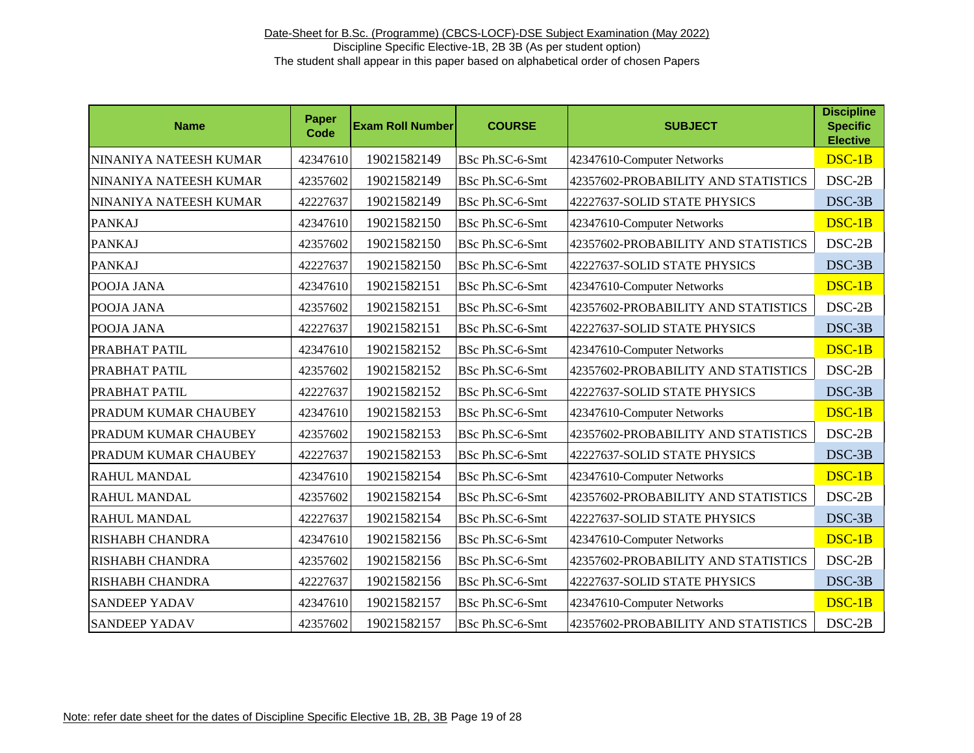| <b>Name</b>            | <b>Paper</b><br><b>Code</b> | <b>Exam Roll Number</b> | <b>COURSE</b>   | <b>SUBJECT</b>                      | <b>Discipline</b><br><b>Specific</b><br><b>Elective</b> |
|------------------------|-----------------------------|-------------------------|-----------------|-------------------------------------|---------------------------------------------------------|
| NINANIYA NATEESH KUMAR | 42347610                    | 19021582149             | BSc Ph.SC-6-Smt | 42347610-Computer Networks          | $DSC-1B$                                                |
| NINANIYA NATEESH KUMAR | 42357602                    | 19021582149             | BSc Ph.SC-6-Smt | 42357602-PROBABILITY AND STATISTICS | $DSC-2B$                                                |
| NINANIYA NATEESH KUMAR | 42227637                    | 19021582149             | BSc Ph.SC-6-Smt | 42227637-SOLID STATE PHYSICS        | $DSC-3B$                                                |
| <b>PANKAJ</b>          | 42347610                    | 19021582150             | BSc Ph.SC-6-Smt | 42347610-Computer Networks          | $DSC-1B$                                                |
| <b>PANKAJ</b>          | 42357602                    | 19021582150             | BSc Ph.SC-6-Smt | 42357602-PROBABILITY AND STATISTICS | $DSC-2B$                                                |
| <b>PANKAJ</b>          | 42227637                    | 19021582150             | BSc Ph.SC-6-Smt | 42227637-SOLID STATE PHYSICS        | $DSC-3B$                                                |
| POOJA JANA             | 42347610                    | 19021582151             | BSc Ph.SC-6-Smt | 42347610-Computer Networks          | $DSC-1B$                                                |
| POOJA JANA             | 42357602                    | 19021582151             | BSc Ph.SC-6-Smt | 42357602-PROBABILITY AND STATISTICS | $DSC-2B$                                                |
| POOJA JANA             | 42227637                    | 19021582151             | BSc Ph.SC-6-Smt | 42227637-SOLID STATE PHYSICS        | $DSC-3B$                                                |
| PRABHAT PATIL          | 42347610                    | 19021582152             | BSc Ph.SC-6-Smt | 42347610-Computer Networks          | $DSC-1B$                                                |
| PRABHAT PATIL          | 42357602                    | 19021582152             | BSc Ph.SC-6-Smt | 42357602-PROBABILITY AND STATISTICS | $DSC-2B$                                                |
| PRABHAT PATIL          | 42227637                    | 19021582152             | BSc Ph.SC-6-Smt | 42227637-SOLID STATE PHYSICS        | DSC-3B                                                  |
| PRADUM KUMAR CHAUBEY   | 42347610                    | 19021582153             | BSc Ph.SC-6-Smt | 42347610-Computer Networks          | $DSC-1B$                                                |
| PRADUM KUMAR CHAUBEY   | 42357602                    | 19021582153             | BSc Ph.SC-6-Smt | 42357602-PROBABILITY AND STATISTICS | $DSC-2B$                                                |
| PRADUM KUMAR CHAUBEY   | 42227637                    | 19021582153             | BSc Ph.SC-6-Smt | 42227637-SOLID STATE PHYSICS        | $DSC-3B$                                                |
| <b>RAHUL MANDAL</b>    | 42347610                    | 19021582154             | BSc Ph.SC-6-Smt | 42347610-Computer Networks          | $DSC-1B$                                                |
| <b>RAHUL MANDAL</b>    | 42357602                    | 19021582154             | BSc Ph.SC-6-Smt | 42357602-PROBABILITY AND STATISTICS | $DSC-2B$                                                |
| <b>RAHUL MANDAL</b>    | 42227637                    | 19021582154             | BSc Ph.SC-6-Smt | 42227637-SOLID STATE PHYSICS        | $DSC-3B$                                                |
| RISHABH CHANDRA        | 42347610                    | 19021582156             | BSc Ph.SC-6-Smt | 42347610-Computer Networks          | DSC-1B                                                  |
| RISHABH CHANDRA        | 42357602                    | 19021582156             | BSc Ph.SC-6-Smt | 42357602-PROBABILITY AND STATISTICS | $DSC-2B$                                                |
| RISHABH CHANDRA        | 42227637                    | 19021582156             | BSc Ph.SC-6-Smt | 42227637-SOLID STATE PHYSICS        | DSC-3B                                                  |
| <b>SANDEEP YADAV</b>   | 42347610                    | 19021582157             | BSc Ph.SC-6-Smt | 42347610-Computer Networks          | DSC-1B                                                  |
| <b>SANDEEP YADAV</b>   | 42357602                    | 19021582157             | BSc Ph.SC-6-Smt | 42357602-PROBABILITY AND STATISTICS | $DSC-2B$                                                |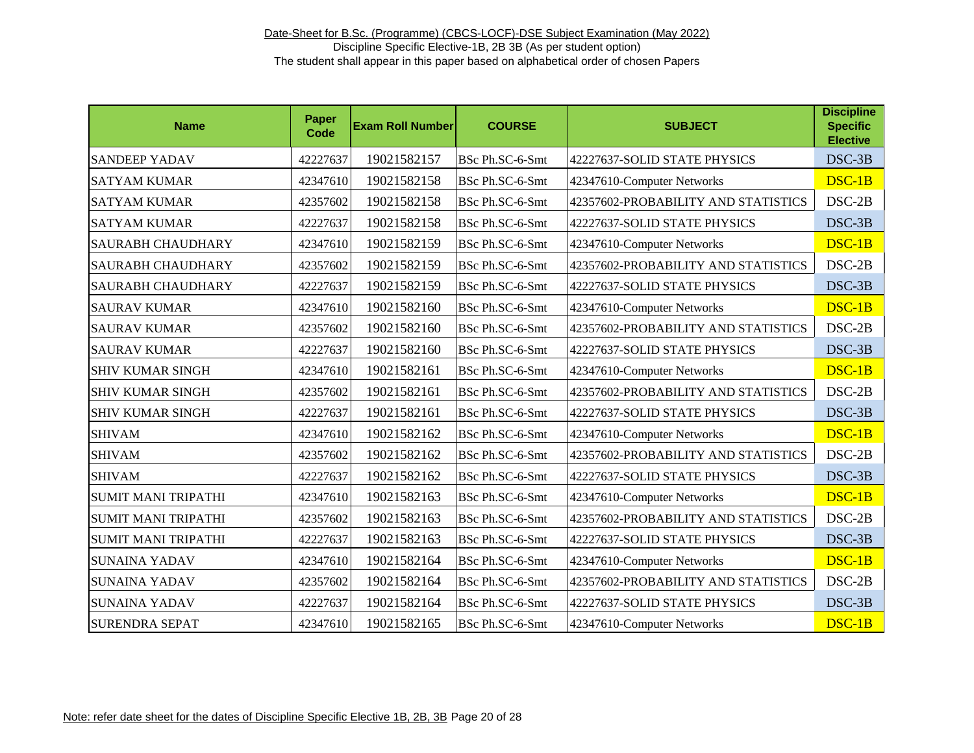| <b>Name</b>                | Paper<br>Code | <b>Exam Roll Number</b> | <b>COURSE</b>   | <b>SUBJECT</b>                      | <b>Discipline</b><br><b>Specific</b><br><b>Elective</b> |
|----------------------------|---------------|-------------------------|-----------------|-------------------------------------|---------------------------------------------------------|
| <b>SANDEEP YADAV</b>       | 42227637      | 19021582157             | BSc Ph.SC-6-Smt | 42227637-SOLID STATE PHYSICS        | DSC-3B                                                  |
| <b>SATYAM KUMAR</b>        | 42347610      | 19021582158             | BSc Ph.SC-6-Smt | 42347610-Computer Networks          | DSC-1B                                                  |
| <b>SATYAM KUMAR</b>        | 42357602      | 19021582158             | BSc Ph.SC-6-Smt | 42357602-PROBABILITY AND STATISTICS | $DSC-2B$                                                |
| <b>SATYAM KUMAR</b>        | 42227637      | 19021582158             | BSc Ph.SC-6-Smt | 42227637-SOLID STATE PHYSICS        | DSC-3B                                                  |
| <b>SAURABH CHAUDHARY</b>   | 42347610      | 19021582159             | BSc Ph.SC-6-Smt | 42347610-Computer Networks          | $DSC-1B$                                                |
| <b>SAURABH CHAUDHARY</b>   | 42357602      | 19021582159             | BSc Ph.SC-6-Smt | 42357602-PROBABILITY AND STATISTICS | $DSC-2B$                                                |
| <b>SAURABH CHAUDHARY</b>   | 42227637      | 19021582159             | BSc Ph.SC-6-Smt | 42227637-SOLID STATE PHYSICS        | DSC-3B                                                  |
| <b>SAURAV KUMAR</b>        | 42347610      | 19021582160             | BSc Ph.SC-6-Smt | 42347610-Computer Networks          | $DSC-1B$                                                |
| <b>SAURAV KUMAR</b>        | 42357602      | 19021582160             | BSc Ph.SC-6-Smt | 42357602-PROBABILITY AND STATISTICS | $DSC-2B$                                                |
| <b>SAURAV KUMAR</b>        | 42227637      | 19021582160             | BSc Ph.SC-6-Smt | 42227637-SOLID STATE PHYSICS        | $DSC-3B$                                                |
| <b>SHIV KUMAR SINGH</b>    | 42347610      | 19021582161             | BSc Ph.SC-6-Smt | 42347610-Computer Networks          | $DSC-1B$                                                |
| <b>SHIV KUMAR SINGH</b>    | 42357602      | 19021582161             | BSc Ph.SC-6-Smt | 42357602-PROBABILITY AND STATISTICS | $DSC-2B$                                                |
| <b>SHIV KUMAR SINGH</b>    | 42227637      | 19021582161             | BSc Ph.SC-6-Smt | 42227637-SOLID STATE PHYSICS        | DSC-3B                                                  |
| <b>SHIVAM</b>              | 42347610      | 19021582162             | BSc Ph.SC-6-Smt | 42347610-Computer Networks          | $DSC-1B$                                                |
| <b>SHIVAM</b>              | 42357602      | 19021582162             | BSc Ph.SC-6-Smt | 42357602-PROBABILITY AND STATISTICS | $DSC-2B$                                                |
| <b>SHIVAM</b>              | 42227637      | 19021582162             | BSc Ph.SC-6-Smt | 42227637-SOLID STATE PHYSICS        | DSC-3B                                                  |
| <b>SUMIT MANI TRIPATHI</b> | 42347610      | 19021582163             | BSc Ph.SC-6-Smt | 42347610-Computer Networks          | $DSC-1B$                                                |
| <b>SUMIT MANI TRIPATHI</b> | 42357602      | 19021582163             | BSc Ph.SC-6-Smt | 42357602-PROBABILITY AND STATISTICS | $DSC-2B$                                                |
| <b>SUMIT MANI TRIPATHI</b> | 42227637      | 19021582163             | BSc Ph.SC-6-Smt | 42227637-SOLID STATE PHYSICS        | DSC-3B                                                  |
| <b>SUNAINA YADAV</b>       | 42347610      | 19021582164             | BSc Ph.SC-6-Smt | 42347610-Computer Networks          | $DSC-1B$                                                |
| <b>SUNAINA YADAV</b>       | 42357602      | 19021582164             | BSc Ph.SC-6-Smt | 42357602-PROBABILITY AND STATISTICS | $DSC-2B$                                                |
| <b>SUNAINA YADAV</b>       | 42227637      | 19021582164             | BSc Ph.SC-6-Smt | 42227637-SOLID STATE PHYSICS        | DSC-3B                                                  |
| <b>SURENDRA SEPAT</b>      | 42347610      | 19021582165             | BSc Ph.SC-6-Smt | 42347610-Computer Networks          | DSC-1B                                                  |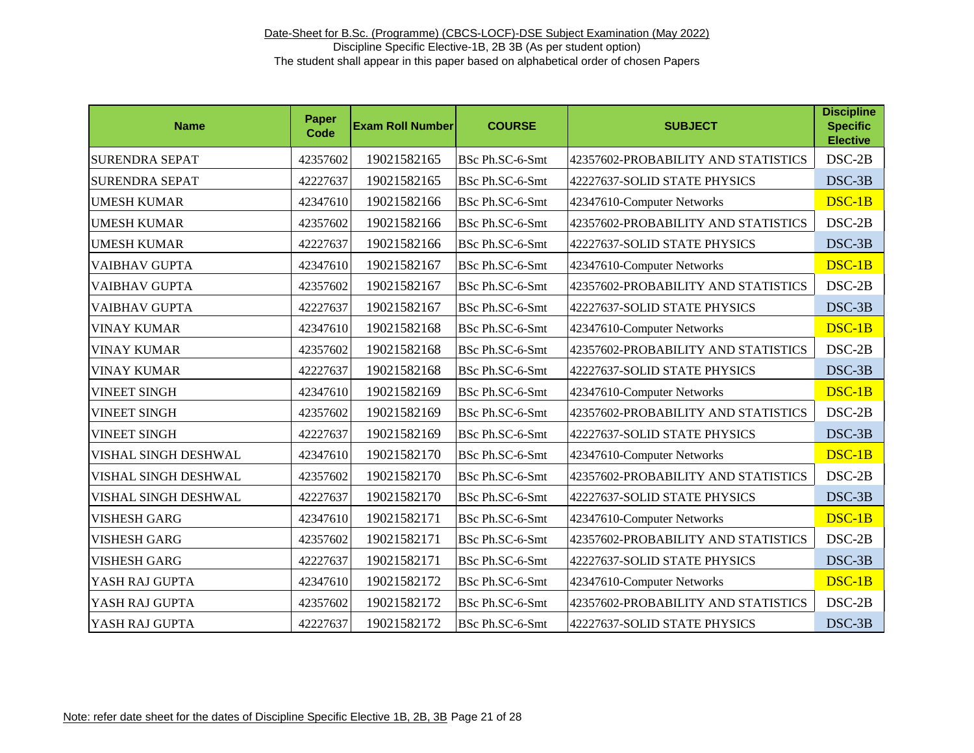| <b>Name</b>           | Paper<br><b>Code</b> | <b>Exam Roll Number</b> | <b>COURSE</b>   | <b>SUBJECT</b>                      | <b>Discipline</b><br><b>Specific</b><br><b>Elective</b> |
|-----------------------|----------------------|-------------------------|-----------------|-------------------------------------|---------------------------------------------------------|
| <b>SURENDRA SEPAT</b> | 42357602             | 19021582165             | BSc Ph.SC-6-Smt | 42357602-PROBABILITY AND STATISTICS | $DSC-2B$                                                |
| <b>SURENDRA SEPAT</b> | 42227637             | 19021582165             | BSc Ph.SC-6-Smt | 42227637-SOLID STATE PHYSICS        | DSC-3B                                                  |
| <b>UMESH KUMAR</b>    | 42347610             | 19021582166             | BSc Ph.SC-6-Smt | 42347610-Computer Networks          | DSC-1B                                                  |
| <b>UMESH KUMAR</b>    | 42357602             | 19021582166             | BSc Ph.SC-6-Smt | 42357602-PROBABILITY AND STATISTICS | $DSC-2B$                                                |
| <b>UMESH KUMAR</b>    | 42227637             | 19021582166             | BSc Ph.SC-6-Smt | 42227637-SOLID STATE PHYSICS        | DSC-3B                                                  |
| <b>VAIBHAV GUPTA</b>  | 42347610             | 19021582167             | BSc Ph.SC-6-Smt | 42347610-Computer Networks          | $DSC-1B$                                                |
| <b>VAIBHAV GUPTA</b>  | 42357602             | 19021582167             | BSc Ph.SC-6-Smt | 42357602-PROBABILITY AND STATISTICS | $DSC-2B$                                                |
| <b>VAIBHAV GUPTA</b>  | 42227637             | 19021582167             | BSc Ph.SC-6-Smt | 42227637-SOLID STATE PHYSICS        | DSC-3B                                                  |
| <b>VINAY KUMAR</b>    | 42347610             | 19021582168             | BSc Ph.SC-6-Smt | 42347610-Computer Networks          | $DSC-1B$                                                |
| <b>VINAY KUMAR</b>    | 42357602             | 19021582168             | BSc Ph.SC-6-Smt | 42357602-PROBABILITY AND STATISTICS | $DSC-2B$                                                |
| <b>VINAY KUMAR</b>    | 42227637             | 19021582168             | BSc Ph.SC-6-Smt | 42227637-SOLID STATE PHYSICS        | DSC-3B                                                  |
| <b>VINEET SINGH</b>   | 42347610             | 19021582169             | BSc Ph.SC-6-Smt | 42347610-Computer Networks          | DSC-1B                                                  |
| <b>VINEET SINGH</b>   | 42357602             | 19021582169             | BSc Ph.SC-6-Smt | 42357602-PROBABILITY AND STATISTICS | $DSC-2B$                                                |
| <b>VINEET SINGH</b>   | 42227637             | 19021582169             | BSc Ph.SC-6-Smt | 42227637-SOLID STATE PHYSICS        | DSC-3B                                                  |
| VISHAL SINGH DESHWAL  | 42347610             | 19021582170             | BSc Ph.SC-6-Smt | 42347610-Computer Networks          | $DSC-1B$                                                |
| VISHAL SINGH DESHWAL  | 42357602             | 19021582170             | BSc Ph.SC-6-Smt | 42357602-PROBABILITY AND STATISTICS | $DSC-2B$                                                |
| VISHAL SINGH DESHWAL  | 42227637             | 19021582170             | BSc Ph.SC-6-Smt | 42227637-SOLID STATE PHYSICS        | DSC-3B                                                  |
| <b>VISHESH GARG</b>   | 42347610             | 19021582171             | BSc Ph.SC-6-Smt | 42347610-Computer Networks          | DSC-1B                                                  |
| <b>VISHESH GARG</b>   | 42357602             | 19021582171             | BSc Ph.SC-6-Smt | 42357602-PROBABILITY AND STATISTICS | $DSC-2B$                                                |
| VISHESH GARG          | 42227637             | 19021582171             | BSc Ph.SC-6-Smt | 42227637-SOLID STATE PHYSICS        | DSC-3B                                                  |
| YASH RAJ GUPTA        | 42347610             | 19021582172             | BSc Ph.SC-6-Smt | 42347610-Computer Networks          | DSC-1B                                                  |
| YASH RAJ GUPTA        | 42357602             | 19021582172             | BSc Ph.SC-6-Smt | 42357602-PROBABILITY AND STATISTICS | $DSC-2B$                                                |
| YASH RAJ GUPTA        | 42227637             | 19021582172             | BSc Ph.SC-6-Smt | 42227637-SOLID STATE PHYSICS        | DSC-3B                                                  |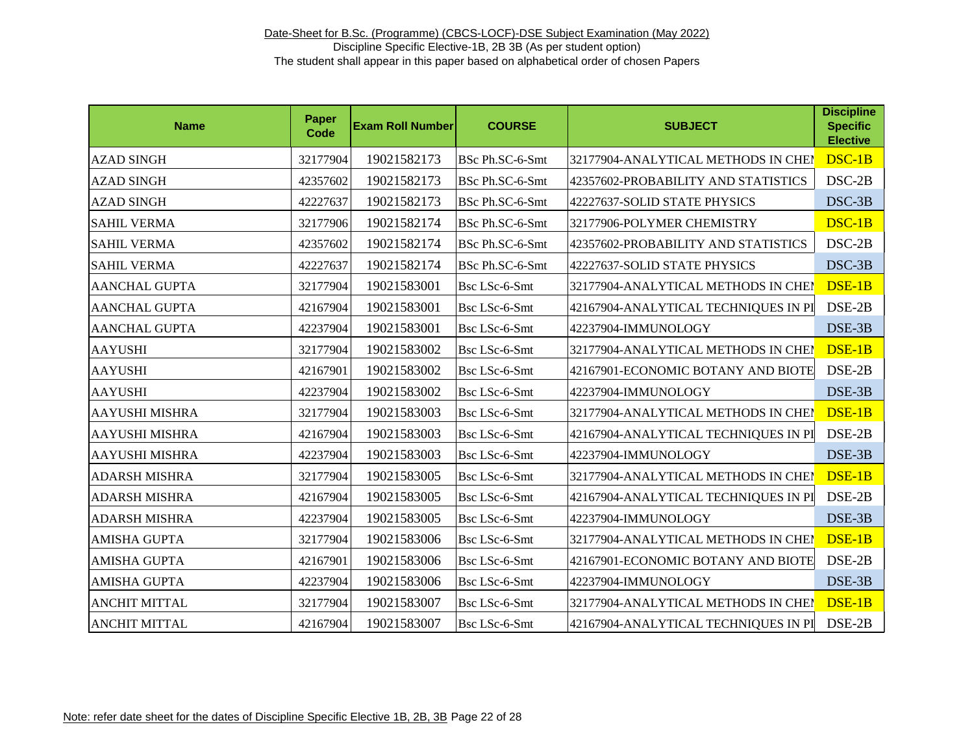| <b>Name</b>           | <b>Paper</b><br>Code | <b>Exam Roll Number</b> | <b>COURSE</b>        | <b>SUBJECT</b>                       | <b>Discipline</b><br><b>Specific</b><br><b>Elective</b> |
|-----------------------|----------------------|-------------------------|----------------------|--------------------------------------|---------------------------------------------------------|
| <b>AZAD SINGH</b>     | 32177904             | 19021582173             | BSc Ph.SC-6-Smt      | 32177904-ANALYTICAL METHODS IN CHEI  | DSC-1B                                                  |
| <b>AZAD SINGH</b>     | 42357602             | 19021582173             | BSc Ph.SC-6-Smt      | 42357602-PROBABILITY AND STATISTICS  | DSC-2B                                                  |
| <b>AZAD SINGH</b>     | 42227637             | 19021582173             | BSc Ph.SC-6-Smt      | 42227637-SOLID STATE PHYSICS         | DSC-3B                                                  |
| <b>SAHIL VERMA</b>    | 32177906             | 19021582174             | BSc Ph.SC-6-Smt      | 32177906-POLYMER CHEMISTRY           | DSC-1B                                                  |
| <b>SAHIL VERMA</b>    | 42357602             | 19021582174             | BSc Ph.SC-6-Smt      | 42357602-PROBABILITY AND STATISTICS  | $DSC-2B$                                                |
| <b>SAHIL VERMA</b>    | 42227637             | 19021582174             | BSc Ph.SC-6-Smt      | 42227637-SOLID STATE PHYSICS         | DSC-3B                                                  |
| <b>AANCHAL GUPTA</b>  | 32177904             | 19021583001             | Bsc LSc-6-Smt        | 32177904-ANALYTICAL METHODS IN CHEM  | DSE-1B                                                  |
| <b>AANCHAL GUPTA</b>  | 42167904             | 19021583001             | Bsc LSc-6-Smt        | 42167904-ANALYTICAL TECHNIQUES IN PI | DSE-2B                                                  |
| <b>AANCHAL GUPTA</b>  | 42237904             | 19021583001             | Bsc LSc-6-Smt        | 42237904-IMMUNOLOGY                  | DSE-3B                                                  |
| <b>AAYUSHI</b>        | 32177904             | 19021583002             | Bsc LSc-6-Smt        | 32177904-ANALYTICAL METHODS IN CHEN  | DSE-1B                                                  |
| <b>AAYUSHI</b>        | 42167901             | 19021583002             | Bsc LSc-6-Smt        | 42167901-ECONOMIC BOTANY AND BIOTE   | DSE-2B                                                  |
| <b>AAYUSHI</b>        | 42237904             | 19021583002             | Bsc LSc-6-Smt        | 42237904-IMMUNOLOGY                  | DSE-3B                                                  |
| AAYUSHI MISHRA        | 32177904             | 19021583003             | Bsc LSc-6-Smt        | 32177904-ANALYTICAL METHODS IN CHEN  | DSE-1B                                                  |
| <b>AAYUSHI MISHRA</b> | 42167904             | 19021583003             | Bsc LSc-6-Smt        | 42167904-ANALYTICAL TECHNIQUES IN PI | DSE-2B                                                  |
| <b>AAYUSHI MISHRA</b> | 42237904             | 19021583003             | <b>Bsc LSc-6-Smt</b> | 42237904-IMMUNOLOGY                  | DSE-3B                                                  |
| <b>ADARSH MISHRA</b>  | 32177904             | 19021583005             | Bsc LSc-6-Smt        | 32177904-ANALYTICAL METHODS IN CHEN  | DSE-1B                                                  |
| <b>ADARSH MISHRA</b>  | 42167904             | 19021583005             | Bsc LSc-6-Smt        | 42167904-ANALYTICAL TECHNIQUES IN PI | DSE-2B                                                  |
| <b>ADARSH MISHRA</b>  | 42237904             | 19021583005             | Bsc LSc-6-Smt        | 42237904-IMMUNOLOGY                  | DSE-3B                                                  |
| <b>AMISHA GUPTA</b>   | 32177904             | 19021583006             | Bsc LSc-6-Smt        | 32177904-ANALYTICAL METHODS IN CHEN  | DSE-1B                                                  |
| <b>AMISHA GUPTA</b>   | 42167901             | 19021583006             | Bsc LSc-6-Smt        | 42167901-ECONOMIC BOTANY AND BIOTE   | DSE-2B                                                  |
| <b>AMISHA GUPTA</b>   | 42237904             | 19021583006             | Bsc LSc-6-Smt        | 42237904-IMMUNOLOGY                  | DSE-3B                                                  |
| <b>ANCHIT MITTAL</b>  | 32177904             | 19021583007             | Bsc LSc-6-Smt        | 32177904-ANALYTICAL METHODS IN CHEN  | DSE-1B                                                  |
| <b>ANCHIT MITTAL</b>  | 42167904             | 19021583007             | Bsc LSc-6-Smt        | 42167904-ANALYTICAL TECHNIQUES IN PI | DSE-2B                                                  |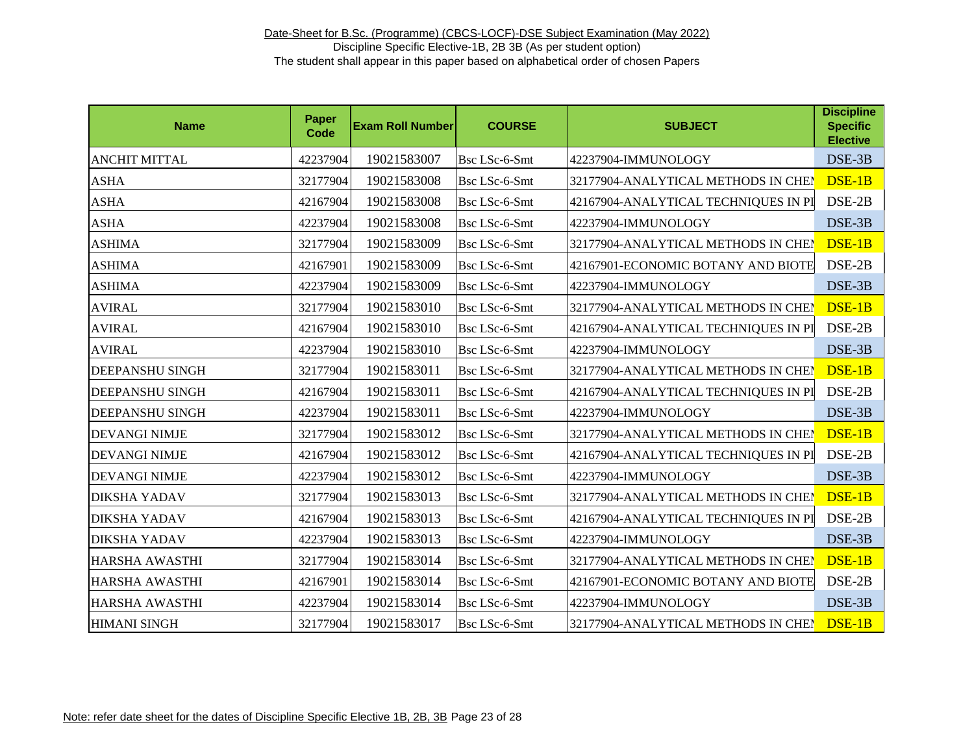| <b>Name</b>            | Paper<br>Code | <b>Exam Roll Number</b> | <b>COURSE</b> | <b>SUBJECT</b>                       | <b>Discipline</b><br><b>Specific</b><br><b>Elective</b> |
|------------------------|---------------|-------------------------|---------------|--------------------------------------|---------------------------------------------------------|
| <b>ANCHIT MITTAL</b>   | 42237904      | 19021583007             | Bsc LSc-6-Smt | 42237904-IMMUNOLOGY                  | DSE-3B                                                  |
| <b>ASHA</b>            | 32177904      | 19021583008             | Bsc LSc-6-Smt | 32177904-ANALYTICAL METHODS IN CHEI  | DSE-1B                                                  |
| <b>ASHA</b>            | 42167904      | 19021583008             | Bsc LSc-6-Smt | 42167904-ANALYTICAL TECHNIQUES IN PI | DSE-2B                                                  |
| <b>ASHA</b>            | 42237904      | 19021583008             | Bsc LSc-6-Smt | 42237904-IMMUNOLOGY                  | DSE-3B                                                  |
| <b>ASHIMA</b>          | 32177904      | 19021583009             | Bsc LSc-6-Smt | 32177904-ANALYTICAL METHODS IN CHEI  | DSE-1B                                                  |
| <b>ASHIMA</b>          | 42167901      | 19021583009             | Bsc LSc-6-Smt | 42167901-ECONOMIC BOTANY AND BIOTE   | DSE-2B                                                  |
| <b>ASHIMA</b>          | 42237904      | 19021583009             | Bsc LSc-6-Smt | 42237904-IMMUNOLOGY                  | DSE-3B                                                  |
| <b>AVIRAL</b>          | 32177904      | 19021583010             | Bsc LSc-6-Smt | 32177904-ANALYTICAL METHODS IN CHEN  | DSE-1B                                                  |
| <b>AVIRAL</b>          | 42167904      | 19021583010             | Bsc LSc-6-Smt | 42167904-ANALYTICAL TECHNIQUES IN PI | DSE-2B                                                  |
| <b>AVIRAL</b>          | 42237904      | 19021583010             | Bsc LSc-6-Smt | 42237904-IMMUNOLOGY                  | DSE-3B                                                  |
| <b>DEEPANSHU SINGH</b> | 32177904      | 19021583011             | Bsc LSc-6-Smt | 32177904-ANALYTICAL METHODS IN CHEM  | DSE-1B                                                  |
| <b>DEEPANSHU SINGH</b> | 42167904      | 19021583011             | Bsc LSc-6-Smt | 42167904-ANALYTICAL TECHNIQUES IN PI | DSE-2B                                                  |
| <b>DEEPANSHU SINGH</b> | 42237904      | 19021583011             | Bsc LSc-6-Smt | 42237904-IMMUNOLOGY                  | DSE-3B                                                  |
| <b>DEVANGI NIMJE</b>   | 32177904      | 19021583012             | Bsc LSc-6-Smt | 32177904-ANALYTICAL METHODS IN CHEI  | DSE-1B                                                  |
| <b>DEVANGI NIMJE</b>   | 42167904      | 19021583012             | Bsc LSc-6-Smt | 42167904-ANALYTICAL TECHNIQUES IN PI | DSE-2B                                                  |
| <b>DEVANGI NIMJE</b>   | 42237904      | 19021583012             | Bsc LSc-6-Smt | 42237904-IMMUNOLOGY                  | DSE-3B                                                  |
| <b>DIKSHA YADAV</b>    | 32177904      | 19021583013             | Bsc LSc-6-Smt | 32177904-ANALYTICAL METHODS IN CHEN  | DSE-1B                                                  |
| <b>DIKSHA YADAV</b>    | 42167904      | 19021583013             | Bsc LSc-6-Smt | 42167904-ANALYTICAL TECHNIQUES IN PI | DSE-2B                                                  |
| <b>DIKSHA YADAV</b>    | 42237904      | 19021583013             | Bsc LSc-6-Smt | 42237904-IMMUNOLOGY                  | DSE-3B                                                  |
| <b>HARSHA AWASTHI</b>  | 32177904      | 19021583014             | Bsc LSc-6-Smt | 32177904-ANALYTICAL METHODS IN CHEN  | DSE-1B                                                  |
| <b>HARSHA AWASTHI</b>  | 42167901      | 19021583014             | Bsc LSc-6-Smt | 42167901-ECONOMIC BOTANY AND BIOTE   | DSE-2B                                                  |
| <b>HARSHA AWASTHI</b>  | 42237904      | 19021583014             | Bsc LSc-6-Smt | 42237904-IMMUNOLOGY                  | DSE-3B                                                  |
| <b>HIMANI SINGH</b>    | 32177904      | 19021583017             | Bsc LSc-6-Smt | 32177904-ANALYTICAL METHODS IN CHEP  | DSE-1B                                                  |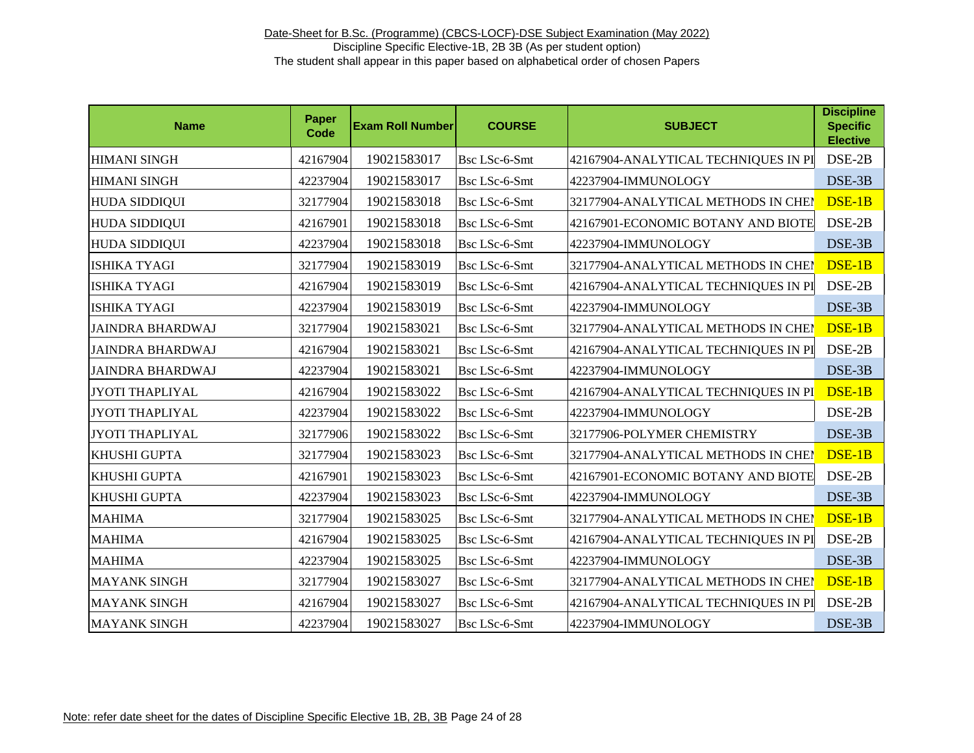| <b>Name</b>             | <b>Paper</b><br><b>Code</b> | <b>Exam Roll Number</b> | <b>COURSE</b>        | <b>SUBJECT</b>                       | <b>Discipline</b><br><b>Specific</b><br><b>Elective</b> |
|-------------------------|-----------------------------|-------------------------|----------------------|--------------------------------------|---------------------------------------------------------|
| <b>HIMANI SINGH</b>     | 42167904                    | 19021583017             | Bsc LSc-6-Smt        | 42167904-ANALYTICAL TECHNIQUES IN PI | DSE-2B                                                  |
| <b>HIMANI SINGH</b>     | 42237904                    | 19021583017             | Bsc LSc-6-Smt        | 42237904-IMMUNOLOGY                  | DSE-3B                                                  |
| <b>HUDA SIDDIQUI</b>    | 32177904                    | 19021583018             | Bsc LSc-6-Smt        | 32177904-ANALYTICAL METHODS IN CHEI  | DSE-1B                                                  |
| <b>HUDA SIDDIQUI</b>    | 42167901                    | 19021583018             | Bsc LSc-6-Smt        | 42167901-ECONOMIC BOTANY AND BIOTE   | DSE-2B                                                  |
| <b>HUDA SIDDIQUI</b>    | 42237904                    | 19021583018             | Bsc LSc-6-Smt        | 42237904-IMMUNOLOGY                  | DSE-3B                                                  |
| <b>ISHIKA TYAGI</b>     | 32177904                    | 19021583019             | Bsc LSc-6-Smt        | 32177904-ANALYTICAL METHODS IN CHEI  | DSE-1B                                                  |
| <b>ISHIKA TYAGI</b>     | 42167904                    | 19021583019             | Bsc LSc-6-Smt        | 42167904-ANALYTICAL TECHNIQUES IN PI | DSE-2B                                                  |
| <b>ISHIKA TYAGI</b>     | 42237904                    | 19021583019             | Bsc LSc-6-Smt        | 42237904-IMMUNOLOGY                  | DSE-3B                                                  |
| <b>JAINDRA BHARDWAJ</b> | 32177904                    | 19021583021             | Bsc LSc-6-Smt        | 32177904-ANALYTICAL METHODS IN CHEN  | DSE-1B                                                  |
| <b>JAINDRA BHARDWAJ</b> | 42167904                    | 19021583021             | Bsc LSc-6-Smt        | 42167904-ANALYTICAL TECHNIQUES IN PI | DSE-2B                                                  |
| <b>JAINDRA BHARDWAJ</b> | 42237904                    | 19021583021             | Bsc LSc-6-Smt        | 42237904-IMMUNOLOGY                  | DSE-3B                                                  |
| <b>JYOTI THAPLIYAL</b>  | 42167904                    | 19021583022             | Bsc LSc-6-Smt        | 42167904-ANALYTICAL TECHNIQUES IN PI | DSE-1B                                                  |
| <b>JYOTI THAPLIYAL</b>  | 42237904                    | 19021583022             | Bsc LSc-6-Smt        | 42237904-IMMUNOLOGY                  | DSE-2B                                                  |
| <b>JYOTI THAPLIYAL</b>  | 32177906                    | 19021583022             | Bsc LSc-6-Smt        | 32177906-POLYMER CHEMISTRY           | DSE-3B                                                  |
| KHUSHI GUPTA            | 32177904                    | 19021583023             | <b>Bsc LSc-6-Smt</b> | 32177904-ANALYTICAL METHODS IN CHEN  | DSE-1B                                                  |
| KHUSHI GUPTA            | 42167901                    | 19021583023             | Bsc LSc-6-Smt        | 42167901-ECONOMIC BOTANY AND BIOTE   | DSE-2B                                                  |
| KHUSHI GUPTA            | 42237904                    | 19021583023             | Bsc LSc-6-Smt        | 42237904-IMMUNOLOGY                  | DSE-3B                                                  |
| <b>MAHIMA</b>           | 32177904                    | 19021583025             | Bsc LSc-6-Smt        | 32177904-ANALYTICAL METHODS IN CHEN  | DSE-1B                                                  |
| <b>MAHIMA</b>           | 42167904                    | 19021583025             | Bsc LSc-6-Smt        | 42167904-ANALYTICAL TECHNIQUES IN PI | DSE-2B                                                  |
| <b>MAHIMA</b>           | 42237904                    | 19021583025             | Bsc LSc-6-Smt        | 42237904-IMMUNOLOGY                  | DSE-3B                                                  |
| <b>MAYANK SINGH</b>     | 32177904                    | 19021583027             | Bsc LSc-6-Smt        | 32177904-ANALYTICAL METHODS IN CHEN  | DSE-1B                                                  |
| <b>MAYANK SINGH</b>     | 42167904                    | 19021583027             | Bsc LSc-6-Smt        | 42167904-ANALYTICAL TECHNIQUES IN PI | DSE-2B                                                  |
| <b>MAYANK SINGH</b>     | 42237904                    | 19021583027             | Bsc LSc-6-Smt        | 42237904-IMMUNOLOGY                  | DSE-3B                                                  |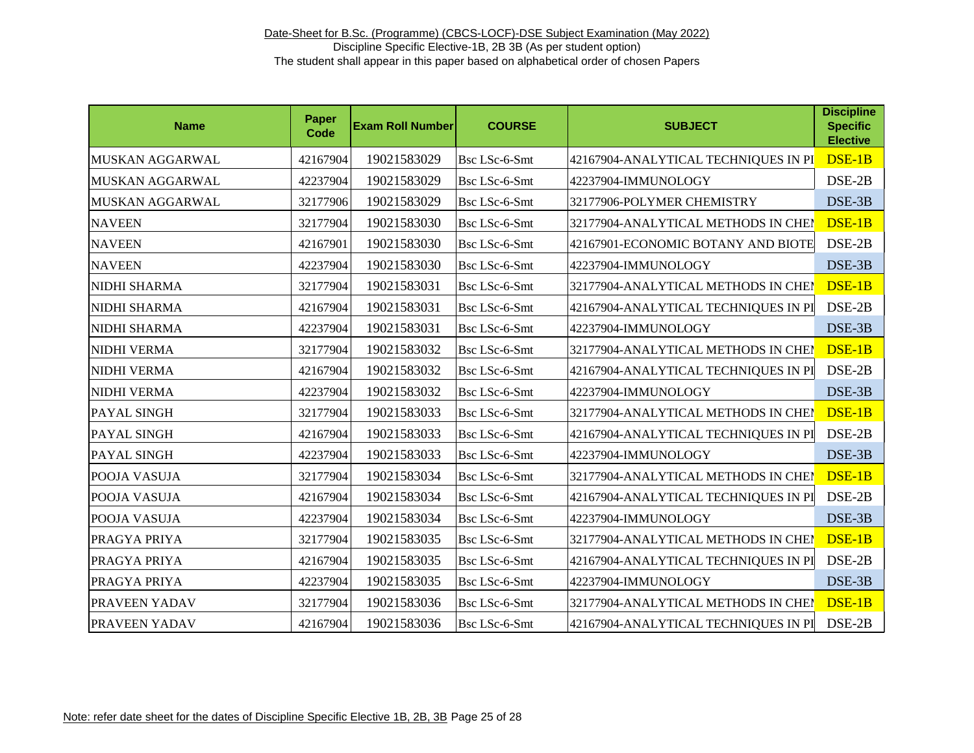| <b>Name</b>         | Paper<br>Code | <b>Exam Roll Number</b> | <b>COURSE</b>        | <b>SUBJECT</b>                       | <b>Discipline</b><br><b>Specific</b><br><b>Elective</b> |
|---------------------|---------------|-------------------------|----------------------|--------------------------------------|---------------------------------------------------------|
| MUSKAN AGGARWAL     | 42167904      | 19021583029             | Bsc LSc-6-Smt        | 42167904-ANALYTICAL TECHNIQUES IN PI | DSE-1B                                                  |
| MUSKAN AGGARWAL     | 42237904      | 19021583029             | Bsc LSc-6-Smt        | 42237904-IMMUNOLOGY                  | DSE-2B                                                  |
| MUSKAN AGGARWAL     | 32177906      | 19021583029             | Bsc LSc-6-Smt        | 32177906-POLYMER CHEMISTRY           | DSE-3B                                                  |
| <b>NAVEEN</b>       | 32177904      | 19021583030             | Bsc LSc-6-Smt        | 32177904-ANALYTICAL METHODS IN CHEI  | DSE-1B                                                  |
| <b>NAVEEN</b>       | 42167901      | 19021583030             | Bsc LSc-6-Smt        | 42167901-ECONOMIC BOTANY AND BIOTE   | DSE-2B                                                  |
| <b>NAVEEN</b>       | 42237904      | 19021583030             | Bsc LSc-6-Smt        | 42237904-IMMUNOLOGY                  | DSE-3B                                                  |
| NIDHI SHARMA        | 32177904      | 19021583031             | Bsc LSc-6-Smt        | 32177904-ANALYTICAL METHODS IN CHEI  | DSE-1B                                                  |
| <b>NIDHI SHARMA</b> | 42167904      | 19021583031             | Bsc LSc-6-Smt        | 42167904-ANALYTICAL TECHNIQUES IN PI | DSE-2B                                                  |
| <b>NIDHI SHARMA</b> | 42237904      | 19021583031             | Bsc LSc-6-Smt        | 42237904-IMMUNOLOGY                  | DSE-3B                                                  |
| <b>NIDHI VERMA</b>  | 32177904      | 19021583032             | Bsc LSc-6-Smt        | 32177904-ANALYTICAL METHODS IN CHEN  | DSE-1B                                                  |
| NIDHI VERMA         | 42167904      | 19021583032             | Bsc LSc-6-Smt        | 42167904-ANALYTICAL TECHNIQUES IN PI | DSE-2B                                                  |
| NIDHI VERMA         | 42237904      | 19021583032             | Bsc LSc-6-Smt        | 42237904-IMMUNOLOGY                  | DSE-3B                                                  |
| PAYAL SINGH         | 32177904      | 19021583033             | Bsc LSc-6-Smt        | 32177904-ANALYTICAL METHODS IN CHEM  | DSE-1B                                                  |
| PAYAL SINGH         | 42167904      | 19021583033             | Bsc LSc-6-Smt        | 42167904-ANALYTICAL TECHNIQUES IN PI | DSE-2B                                                  |
| PAYAL SINGH         | 42237904      | 19021583033             | Bsc LSc-6-Smt        | 42237904-IMMUNOLOGY                  | DSE-3B                                                  |
| POOJA VASUJA        | 32177904      | 19021583034             | Bsc LSc-6-Smt        | 32177904-ANALYTICAL METHODS IN CHEI  | DSE-1B                                                  |
| POOJA VASUJA        | 42167904      | 19021583034             | <b>Bsc LSc-6-Smt</b> | 42167904-ANALYTICAL TECHNIQUES IN PI | DSE-2B                                                  |
| POOJA VASUJA        | 42237904      | 19021583034             | Bsc LSc-6-Smt        | 42237904-IMMUNOLOGY                  | DSE-3B                                                  |
| PRAGYA PRIYA        | 32177904      | 19021583035             | <b>Bsc LSc-6-Smt</b> | 32177904-ANALYTICAL METHODS IN CHEN  | DSE-1B                                                  |
| PRAGYA PRIYA        | 42167904      | 19021583035             | Bsc LSc-6-Smt        | 42167904-ANALYTICAL TECHNIQUES IN PI | DSE-2B                                                  |
| PRAGYA PRIYA        | 42237904      | 19021583035             | Bsc LSc-6-Smt        | 42237904-IMMUNOLOGY                  | DSE-3B                                                  |
| PRAVEEN YADAV       | 32177904      | 19021583036             | Bsc LSc-6-Smt        | 32177904-ANALYTICAL METHODS IN CHEN  | DSE-1B                                                  |
| PRAVEEN YADAV       | 42167904      | 19021583036             | Bsc LSc-6-Smt        | 42167904-ANALYTICAL TECHNIQUES IN PI | DSE-2B                                                  |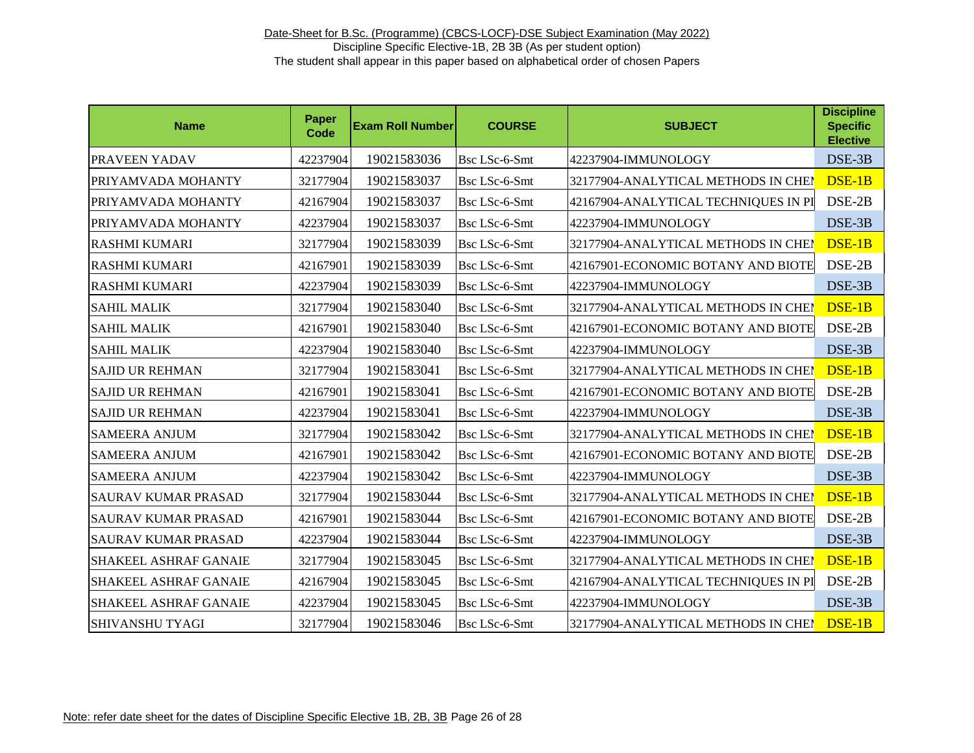| <b>Name</b>                  | Paper<br>Code | <b>Exam Roll Number</b> | <b>COURSE</b>        | <b>SUBJECT</b>                       | <b>Discipline</b><br><b>Specific</b><br><b>Elective</b> |
|------------------------------|---------------|-------------------------|----------------------|--------------------------------------|---------------------------------------------------------|
| PRAVEEN YADAV                | 42237904      | 19021583036             | Bsc LSc-6-Smt        | 42237904-IMMUNOLOGY                  | DSE-3B                                                  |
| PRIYAMVADA MOHANTY           | 32177904      | 19021583037             | Bsc LSc-6-Smt        | 32177904-ANALYTICAL METHODS IN CHEI  | DSE-1B                                                  |
| PRIYAMVADA MOHANTY           | 42167904      | 19021583037             | Bsc LSc-6-Smt        | 42167904-ANALYTICAL TECHNIQUES IN PI | DSE-2B                                                  |
| PRIYAMVADA MOHANTY           | 42237904      | 19021583037             | Bsc LSc-6-Smt        | 42237904-IMMUNOLOGY                  | DSE-3B                                                  |
| <b>RASHMI KUMARI</b>         | 32177904      | 19021583039             | Bsc LSc-6-Smt        | 32177904-ANALYTICAL METHODS IN CHEI  | DSE-1B                                                  |
| <b>RASHMI KUMARI</b>         | 42167901      | 19021583039             | Bsc LSc-6-Smt        | 42167901-ECONOMIC BOTANY AND BIOTE   | DSE-2B                                                  |
| <b>RASHMI KUMARI</b>         | 42237904      | 19021583039             | Bsc LSc-6-Smt        | 42237904-IMMUNOLOGY                  | DSE-3B                                                  |
| <b>SAHIL MALIK</b>           | 32177904      | 19021583040             | <b>Bsc LSc-6-Smt</b> | 32177904-ANALYTICAL METHODS IN CHEI  | DSE-1B                                                  |
| <b>SAHIL MALIK</b>           | 42167901      | 19021583040             | <b>Bsc LSc-6-Smt</b> | 42167901-ECONOMIC BOTANY AND BIOTE   | DSE-2B                                                  |
| <b>SAHIL MALIK</b>           | 42237904      | 19021583040             | Bsc LSc-6-Smt        | 42237904-IMMUNOLOGY                  | DSE-3B                                                  |
| <b>SAJID UR REHMAN</b>       | 32177904      | 19021583041             | Bsc LSc-6-Smt        | 32177904-ANALYTICAL METHODS IN CHEI  | DSE-1B                                                  |
| <b>SAJID UR REHMAN</b>       | 42167901      | 19021583041             | Bsc LSc-6-Smt        | 42167901-ECONOMIC BOTANY AND BIOTE   | DSE-2B                                                  |
| <b>SAJID UR REHMAN</b>       | 42237904      | 19021583041             | Bsc LSc-6-Smt        | 42237904-IMMUNOLOGY                  | DSE-3B                                                  |
| <b>SAMEERA ANJUM</b>         | 32177904      | 19021583042             | Bsc LSc-6-Smt        | 32177904-ANALYTICAL METHODS IN CHEN  | DSE-1B                                                  |
| <b>SAMEERA ANJUM</b>         | 42167901      | 19021583042             | Bsc LSc-6-Smt        | 42167901-ECONOMIC BOTANY AND BIOTE   | DSE-2B                                                  |
| <b>SAMEERA ANJUM</b>         | 42237904      | 19021583042             | Bsc LSc-6-Smt        | 42237904-IMMUNOLOGY                  | DSE-3B                                                  |
| <b>SAURAV KUMAR PRASAD</b>   | 32177904      | 19021583044             | <b>Bsc LSc-6-Smt</b> | 32177904-ANALYTICAL METHODS IN CHEN  | DSE-1B                                                  |
| <b>SAURAV KUMAR PRASAD</b>   | 42167901      | 19021583044             | Bsc LSc-6-Smt        | 42167901-ECONOMIC BOTANY AND BIOTE   | DSE-2B                                                  |
| SAURAV KUMAR PRASAD          | 42237904      | 19021583044             | Bsc LSc-6-Smt        | 42237904-IMMUNOLOGY                  | DSE-3B                                                  |
| <b>SHAKEEL ASHRAF GANAIE</b> | 32177904      | 19021583045             | Bsc LSc-6-Smt        | 32177904-ANALYTICAL METHODS IN CHEI  | DSE-1B                                                  |
| <b>SHAKEEL ASHRAF GANAIE</b> | 42167904      | 19021583045             | Bsc LSc-6-Smt        | 42167904-ANALYTICAL TECHNIQUES IN PI | DSE-2B                                                  |
| <b>SHAKEEL ASHRAF GANAIE</b> | 42237904      | 19021583045             | Bsc LSc-6-Smt        | 42237904-IMMUNOLOGY                  | DSE-3B                                                  |
| <b>SHIVANSHU TYAGI</b>       | 32177904      | 19021583046             | Bsc LSc-6-Smt        | 32177904-ANALYTICAL METHODS IN CHEN  | DSE-1B                                                  |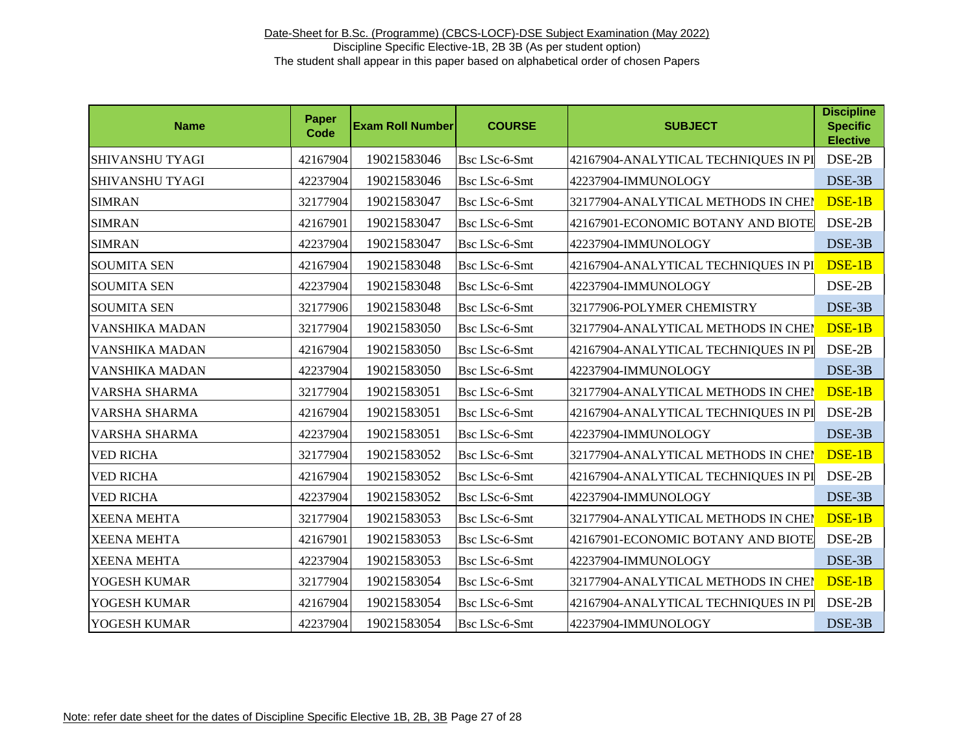| <b>Name</b>            | <b>Paper</b><br><b>Code</b> | <b>Exam Roll Number</b> | <b>COURSE</b>        | <b>SUBJECT</b>                       | <b>Discipline</b><br><b>Specific</b><br><b>Elective</b> |
|------------------------|-----------------------------|-------------------------|----------------------|--------------------------------------|---------------------------------------------------------|
| <b>SHIVANSHU TYAGI</b> | 42167904                    | 19021583046             | Bsc LSc-6-Smt        | 42167904-ANALYTICAL TECHNIQUES IN PI | DSE-2B                                                  |
| <b>SHIVANSHU TYAGI</b> | 42237904                    | 19021583046             | Bsc LSc-6-Smt        | 42237904-IMMUNOLOGY                  | DSE-3B                                                  |
| <b>SIMRAN</b>          | 32177904                    | 19021583047             | Bsc LSc-6-Smt        | 32177904-ANALYTICAL METHODS IN CHEI  | DSE-1B                                                  |
| <b>SIMRAN</b>          | 42167901                    | 19021583047             | Bsc LSc-6-Smt        | 42167901-ECONOMIC BOTANY AND BIOTE   | DSE-2B                                                  |
| <b>SIMRAN</b>          | 42237904                    | 19021583047             | Bsc LSc-6-Smt        | 42237904-IMMUNOLOGY                  | DSE-3B                                                  |
| <b>SOUMITA SEN</b>     | 42167904                    | 19021583048             | Bsc LSc-6-Smt        | 42167904-ANALYTICAL TECHNIQUES IN PI | DSE-1B                                                  |
| <b>SOUMITA SEN</b>     | 42237904                    | 19021583048             | Bsc LSc-6-Smt        | 42237904-IMMUNOLOGY                  | DSE-2B                                                  |
| <b>SOUMITA SEN</b>     | 32177906                    | 19021583048             | Bsc LSc-6-Smt        | 32177906-POLYMER CHEMISTRY           | DSE-3B                                                  |
| VANSHIKA MADAN         | 32177904                    | 19021583050             | Bsc LSc-6-Smt        | 32177904-ANALYTICAL METHODS IN CHEN  | DSE-1B                                                  |
| VANSHIKA MADAN         | 42167904                    | 19021583050             | Bsc LSc-6-Smt        | 42167904-ANALYTICAL TECHNIQUES IN PI | DSE-2B                                                  |
| VANSHIKA MADAN         | 42237904                    | 19021583050             | Bsc LSc-6-Smt        | 42237904-IMMUNOLOGY                  | DSE-3B                                                  |
| VARSHA SHARMA          | 32177904                    | 19021583051             | Bsc LSc-6-Smt        | 32177904-ANALYTICAL METHODS IN CHEM  | DSE-1B                                                  |
| VARSHA SHARMA          | 42167904                    | 19021583051             | Bsc LSc-6-Smt        | 42167904-ANALYTICAL TECHNIQUES IN PI | DSE-2B                                                  |
| <b>VARSHA SHARMA</b>   | 42237904                    | 19021583051             | Bsc LSc-6-Smt        | 42237904-IMMUNOLOGY                  | DSE-3B                                                  |
| <b>VED RICHA</b>       | 32177904                    | 19021583052             | <b>Bsc LSc-6-Smt</b> | 32177904-ANALYTICAL METHODS IN CHEN  | DSE-1B                                                  |
| <b>VED RICHA</b>       | 42167904                    | 19021583052             | Bsc LSc-6-Smt        | 42167904-ANALYTICAL TECHNIQUES IN PI | DSE-2B                                                  |
| <b>VED RICHA</b>       | 42237904                    | 19021583052             | Bsc LSc-6-Smt        | 42237904-IMMUNOLOGY                  | DSE-3B                                                  |
| <b>XEENA MEHTA</b>     | 32177904                    | 19021583053             | <b>Bsc LSc-6-Smt</b> | 32177904-ANALYTICAL METHODS IN CHEN  | DSE-1B                                                  |
| <b>XEENA MEHTA</b>     | 42167901                    | 19021583053             | Bsc LSc-6-Smt        | 42167901-ECONOMIC BOTANY AND BIOTE   | DSE-2B                                                  |
| <b>XEENA MEHTA</b>     | 42237904                    | 19021583053             | Bsc LSc-6-Smt        | 42237904-IMMUNOLOGY                  | DSE-3B                                                  |
| YOGESH KUMAR           | 32177904                    | 19021583054             | Bsc LSc-6-Smt        | 32177904-ANALYTICAL METHODS IN CHEN  | DSE-1B                                                  |
| YOGESH KUMAR           | 42167904                    | 19021583054             | Bsc LSc-6-Smt        | 42167904-ANALYTICAL TECHNIQUES IN PI | DSE-2B                                                  |
| YOGESH KUMAR           | 42237904                    | 19021583054             | Bsc LSc-6-Smt        | 42237904-IMMUNOLOGY                  | DSE-3B                                                  |